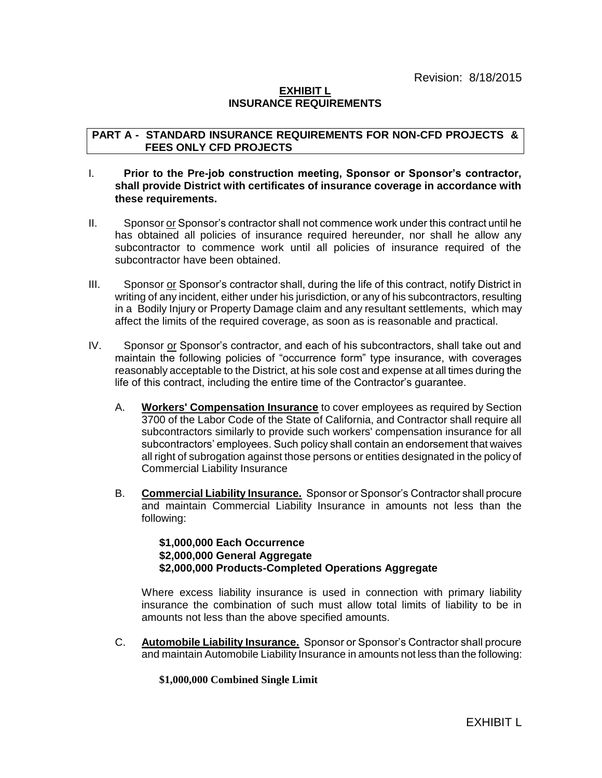## **EXHIBIT L INSURANCE REQUIREMENTS**

## **PART A - STANDARD INSURANCE REQUIREMENTS FOR NON-CFD PROJECTS & FEES ONLY CFD PROJECTS**

## I. **Prior to the Pre-job construction meeting, Sponsor or Sponsor's contractor, shall provide District with certificates of insurance coverage in accordance with these requirements.**

- II. Sponsor or Sponsor's contractor shall not commence work under this contract until he has obtained all policies of insurance required hereunder, nor shall he allow any subcontractor to commence work until all policies of insurance required of the subcontractor have been obtained.
- III. Sponsor or Sponsor's contractor shall, during the life of this contract, notify District in writing of any incident, either under his jurisdiction, or any of his subcontractors, resulting in a Bodily Injury or Property Damage claim and any resultant settlements, which may affect the limits of the required coverage, as soon as is reasonable and practical.
- IV. Sponsor or Sponsor's contractor, and each of his subcontractors, shall take out and maintain the following policies of "occurrence form" type insurance, with coverages reasonably acceptable to the District, at his sole cost and expense at all times during the life of this contract, including the entire time of the Contractor's guarantee.
	- A. **Workers' Compensation Insurance** to cover employees as required by Section 3700 of the Labor Code of the State of California, and Contractor shall require all subcontractors similarly to provide such workers' compensation insurance for all subcontractors' employees. Such policy shall contain an endorsement that waives all right of subrogation against those persons or entities designated in the policy of Commercial Liability Insurance
	- B. **Commercial Liability Insurance.** Sponsor or Sponsor's Contractor shall procure and maintain Commercial Liability Insurance in amounts not less than the following:

### **\$1,000,000 Each Occurrence \$2,000,000 General Aggregate \$2,000,000 Products-Completed Operations Aggregate**

Where excess liability insurance is used in connection with primary liability insurance the combination of such must allow total limits of liability to be in amounts not less than the above specified amounts.

C. **Automobile Liability Insurance.** Sponsor or Sponsor's Contractor shall procure and maintain Automobile Liability Insurance in amounts not less than the following:

#### **\$1,000,000 Combined Single Limit**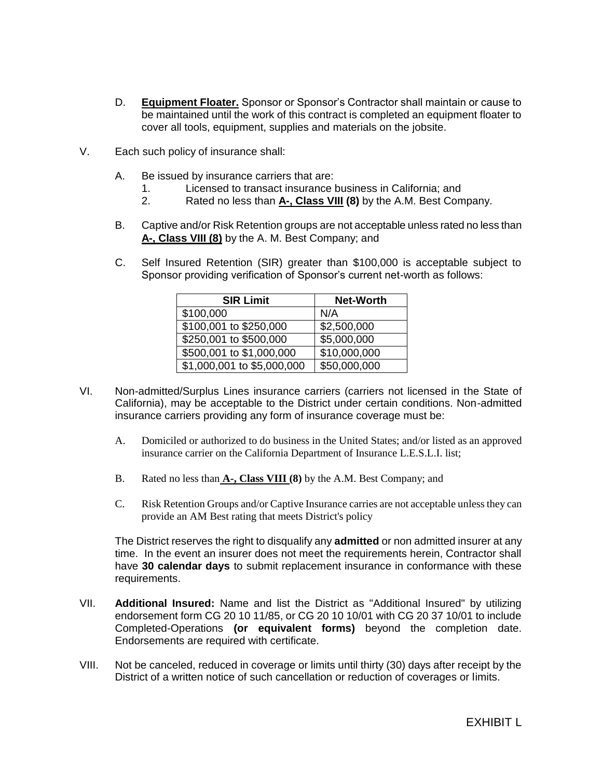- D. **Equipment Floater.** Sponsor or Sponsor's Contractor shall maintain or cause to be maintained until the work of this contract is completed an equipment floater to cover all tools, equipment, supplies and materials on the jobsite.
- V. Each such policy of insurance shall:
	- A. Be issued by insurance carriers that are:
		- 1. Licensed to transact insurance business in California; and
		- 2. Rated no less than **A-, Class VIII (8)** by the A.M. Best Company.
	- B. Captive and/or Risk Retention groups are not acceptable unless rated no less than **A-, Class VIII (8)** by the A. M. Best Company; and
	- C. Self Insured Retention (SIR) greater than \$100,000 is acceptable subject to Sponsor providing verification of Sponsor's current net-worth as follows:

| <b>SIR Limit</b>           | <b>Net-Worth</b> |
|----------------------------|------------------|
| \$100,000                  | N/A              |
| \$100,001 to \$250,000     | \$2,500,000      |
| \$250,001 to \$500,000     | \$5,000,000      |
| \$500,001 to \$1,000,000   | \$10,000,000     |
| \$1,000,001 to \$5,000,000 | \$50,000,000     |

- VI. Non-admitted/Surplus Lines insurance carriers (carriers not licensed in the State of California), may be acceptable to the District under certain conditions. Non-admitted insurance carriers providing any form of insurance coverage must be:
	- A. Domiciled or authorized to do business in the United States; and/or listed as an approved insurance carrier on the California Department of Insurance L.E.S.L.I. list;
	- B. Rated no less than **A-, Class VIII (8)** by the A.M. Best Company; and
	- C. Risk Retention Groups and/or Captive Insurance carries are not acceptable unless they can provide an AM Best rating that meets District's policy

The District reserves the right to disqualify any **admitted** or non admitted insurer at any time. In the event an insurer does not meet the requirements herein, Contractor shall have **30 calendar days** to submit replacement insurance in conformance with these requirements.

- VII. **Additional Insured:** Name and list the District as "Additional Insured" by utilizing endorsement form CG 20 10 11/85, or CG 20 10 10/01 with CG 20 37 10/01 to include Completed-Operations **(or equivalent forms)** beyond the completion date. Endorsements are required with certificate.
- VIII. Not be canceled, reduced in coverage or limits until thirty (30) days after receipt by the District of a written notice of such cancellation or reduction of coverages or limits.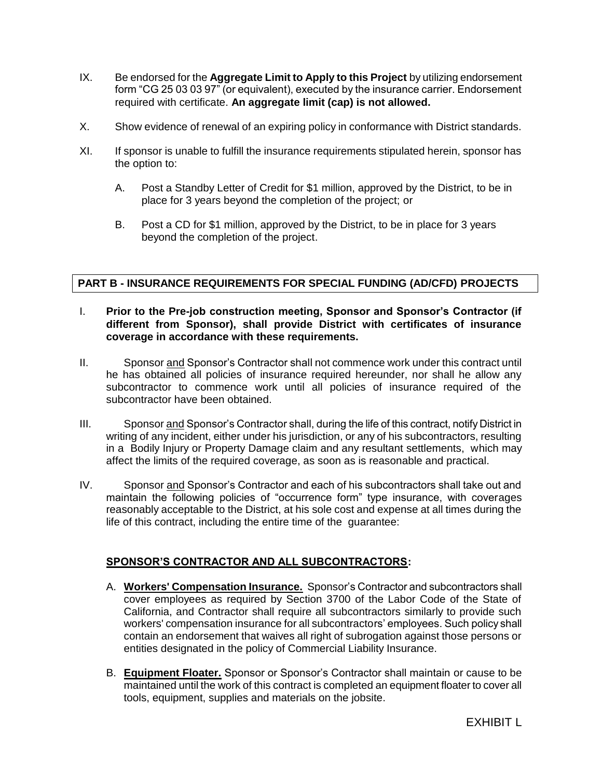- IX. Be endorsed for the **Aggregate Limit to Apply to this Project** by utilizing endorsement form "CG 25 03 03 97" (or equivalent), executed by the insurance carrier. Endorsement required with certificate. **An aggregate limit (cap) is not allowed.**
- X. Show evidence of renewal of an expiring policy in conformance with District standards.
- XI. If sponsor is unable to fulfill the insurance requirements stipulated herein, sponsor has the option to:
	- A. Post a Standby Letter of Credit for \$1 million, approved by the District, to be in place for 3 years beyond the completion of the project; or
	- B. Post a CD for \$1 million, approved by the District, to be in place for 3 years beyond the completion of the project.

# **PART B - INSURANCE REQUIREMENTS FOR SPECIAL FUNDING (AD/CFD) PROJECTS**

## I. **Prior to the Pre-job construction meeting, Sponsor and Sponsor's Contractor (if different from Sponsor), shall provide District with certificates of insurance coverage in accordance with these requirements.**

- II. Sponsor and Sponsor's Contractor shall not commence work under this contract until he has obtained all policies of insurance required hereunder, nor shall he allow any subcontractor to commence work until all policies of insurance required of the subcontractor have been obtained.
- III. Sponsor and Sponsor's Contractor shall, during the life of this contract, notify District in writing of any incident, either under his jurisdiction, or any of his subcontractors, resulting in a Bodily Injury or Property Damage claim and any resultant settlements, which may affect the limits of the required coverage, as soon as is reasonable and practical.
- IV. Sponsor and Sponsor's Contractor and each of his subcontractors shall take out and maintain the following policies of "occurrence form" type insurance, with coverages reasonably acceptable to the District, at his sole cost and expense at all times during the life of this contract, including the entire time of the guarantee:

## **SPONSOR'S CONTRACTOR AND ALL SUBCONTRACTORS:**

- A. **Workers' Compensation Insurance.** Sponsor's Contractor and subcontractors shall cover employees as required by Section 3700 of the Labor Code of the State of California, and Contractor shall require all subcontractors similarly to provide such workers' compensation insurance for all subcontractors' employees. Such policy shall contain an endorsement that waives all right of subrogation against those persons or entities designated in the policy of Commercial Liability Insurance.
- B. **Equipment Floater.** Sponsor or Sponsor's Contractor shall maintain or cause to be maintained until the work of this contract is completed an equipment floater to cover all tools, equipment, supplies and materials on the jobsite.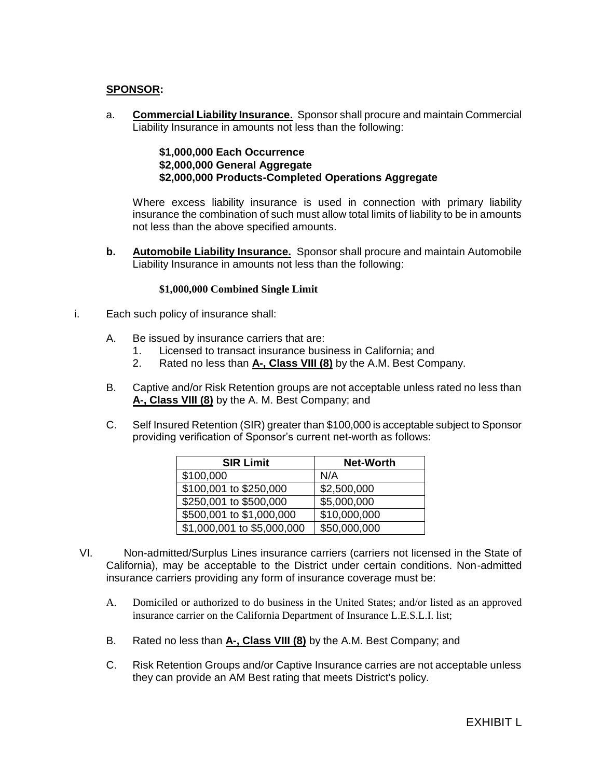## **SPONSOR:**

a. **Commercial Liability Insurance.** Sponsor shall procure and maintain Commercial Liability Insurance in amounts not less than the following:

## **\$1,000,000 Each Occurrence \$2,000,000 General Aggregate \$2,000,000 Products-Completed Operations Aggregate**

Where excess liability insurance is used in connection with primary liability insurance the combination of such must allow total limits of liability to be in amounts not less than the above specified amounts.

**b. Automobile Liability Insurance.** Sponsor shall procure and maintain Automobile Liability Insurance in amounts not less than the following:

### **\$1,000,000 Combined Single Limit**

- i. Each such policy of insurance shall:
	- A. Be issued by insurance carriers that are:
		- 1. Licensed to transact insurance business in California; and
		- 2. Rated no less than **A-, Class VIII (8)** by the A.M. Best Company.
	- B. Captive and/or Risk Retention groups are not acceptable unless rated no less than **A-, Class VIII (8)** by the A. M. Best Company; and
	- C. Self Insured Retention (SIR) greater than \$100,000 is acceptable subject to Sponsor providing verification of Sponsor's current net-worth as follows:

| <b>SIR Limit</b>           | <b>Net-Worth</b> |
|----------------------------|------------------|
| \$100,000                  | N/A              |
| \$100,001 to \$250,000     | \$2,500,000      |
| \$250,001 to \$500,000     | \$5,000,000      |
| \$500,001 to \$1,000,000   | \$10,000,000     |
| \$1,000,001 to \$5,000,000 | \$50,000,000     |

- VI. Non-admitted/Surplus Lines insurance carriers (carriers not licensed in the State of California), may be acceptable to the District under certain conditions. Non-admitted insurance carriers providing any form of insurance coverage must be:
	- A. Domiciled or authorized to do business in the United States; and/or listed as an approved insurance carrier on the California Department of Insurance L.E.S.L.I. list;
	- B. Rated no less than **A-, Class VIII (8)** by the A.M. Best Company; and
	- C. Risk Retention Groups and/or Captive Insurance carries are not acceptable unless they can provide an AM Best rating that meets District's policy.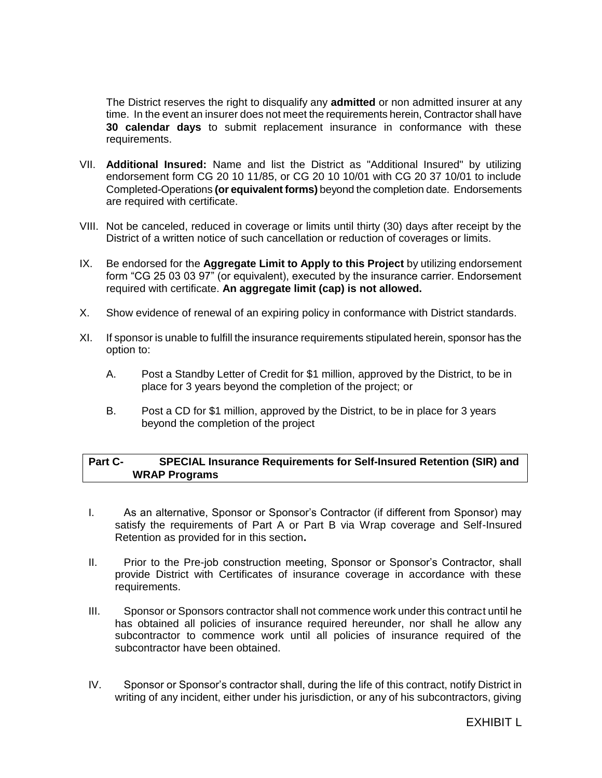The District reserves the right to disqualify any **admitted** or non admitted insurer at any time. In the event an insurer does not meet the requirements herein, Contractor shall have **30 calendar days** to submit replacement insurance in conformance with these requirements.

- VII. **Additional Insured:** Name and list the District as "Additional Insured" by utilizing endorsement form CG 20 10 11/85, or CG 20 10 10/01 with CG 20 37 10/01 to include Completed-Operations **(or equivalent forms)** beyond the completion date. Endorsements are required with certificate.
- VIII. Not be canceled, reduced in coverage or limits until thirty (30) days after receipt by the District of a written notice of such cancellation or reduction of coverages or limits.
- IX. Be endorsed for the **Aggregate Limit to Apply to this Project** by utilizing endorsement form "CG 25 03 03 97" (or equivalent), executed by the insurance carrier. Endorsement required with certificate. **An aggregate limit (cap) is not allowed.**
- X. Show evidence of renewal of an expiring policy in conformance with District standards.
- XI. If sponsor is unable to fulfill the insurance requirements stipulated herein, sponsor has the option to:
	- A. Post a Standby Letter of Credit for \$1 million, approved by the District, to be in place for 3 years beyond the completion of the project; or
	- B. Post a CD for \$1 million, approved by the District, to be in place for 3 years beyond the completion of the project

## **Part C- SPECIAL Insurance Requirements for Self-Insured Retention (SIR) and WRAP Programs**

- I. As an alternative, Sponsor or Sponsor's Contractor (if different from Sponsor) may satisfy the requirements of Part A or Part B via Wrap coverage and Self-Insured Retention as provided for in this section**.**
- II. Prior to the Pre-job construction meeting, Sponsor or Sponsor's Contractor, shall provide District with Certificates of insurance coverage in accordance with these requirements.
- III. Sponsor or Sponsors contractor shall not commence work under this contract until he has obtained all policies of insurance required hereunder, nor shall he allow any subcontractor to commence work until all policies of insurance required of the subcontractor have been obtained.
- IV. Sponsor or Sponsor's contractor shall, during the life of this contract, notify District in writing of any incident, either under his jurisdiction, or any of his subcontractors, giving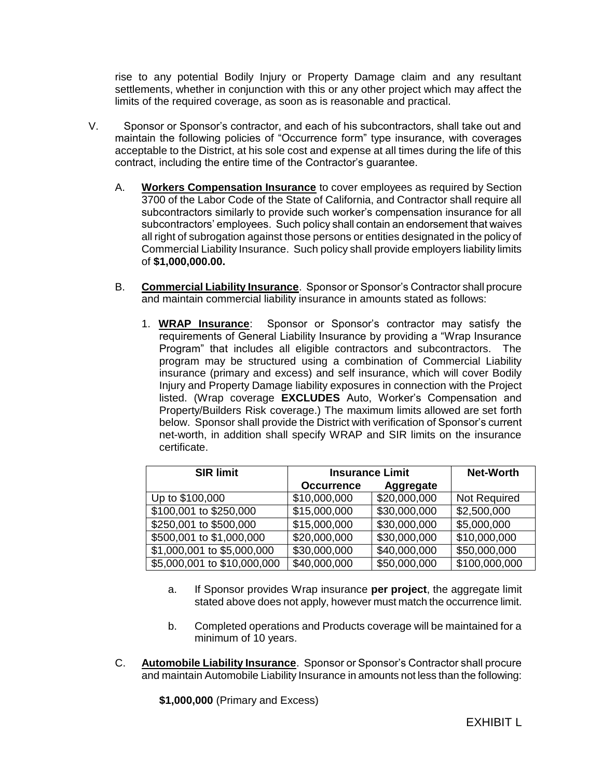rise to any potential Bodily Injury or Property Damage claim and any resultant settlements, whether in conjunction with this or any other project which may affect the limits of the required coverage, as soon as is reasonable and practical.

- V. Sponsor or Sponsor's contractor, and each of his subcontractors, shall take out and maintain the following policies of "Occurrence form" type insurance, with coverages acceptable to the District, at his sole cost and expense at all times during the life of this contract, including the entire time of the Contractor's guarantee.
	- A. **Workers Compensation Insurance** to cover employees as required by Section 3700 of the Labor Code of the State of California, and Contractor shall require all subcontractors similarly to provide such worker's compensation insurance for all subcontractors' employees. Such policy shall contain an endorsement that waives all right of subrogation against those persons or entities designated in the policy of Commercial Liability Insurance. Such policy shall provide employers liability limits of **\$1,000,000.00.**
	- B. **Commercial Liability Insurance**. Sponsor or Sponsor's Contractor shall procure and maintain commercial liability insurance in amounts stated as follows:
		- 1. **WRAP Insurance**: Sponsor or Sponsor's contractor may satisfy the requirements of General Liability Insurance by providing a "Wrap Insurance Program" that includes all eligible contractors and subcontractors. The program may be structured using a combination of Commercial Liability insurance (primary and excess) and self insurance, which will cover Bodily Injury and Property Damage liability exposures in connection with the Project listed. (Wrap coverage **EXCLUDES** Auto, Worker's Compensation and Property/Builders Risk coverage.) The maximum limits allowed are set forth below. Sponsor shall provide the District with verification of Sponsor's current net-worth, in addition shall specify WRAP and SIR limits on the insurance certificate.

| <b>SIR limit</b>            | <b>Insurance Limit</b> | <b>Net-Worth</b> |               |
|-----------------------------|------------------------|------------------|---------------|
|                             | <b>Occurrence</b>      | <b>Aggregate</b> |               |
| Up to \$100,000             | \$10,000,000           | \$20,000,000     | Not Required  |
| \$100,001 to \$250,000      | \$15,000,000           | \$30,000,000     | \$2,500,000   |
| \$250,001 to \$500,000      | \$15,000,000           | \$30,000,000     | \$5,000,000   |
| \$500,001 to \$1,000,000    | \$20,000,000           | \$30,000,000     | \$10,000,000  |
| \$1,000,001 to \$5,000,000  | \$30,000,000           | \$40,000,000     | \$50,000,000  |
| \$5,000,001 to \$10,000,000 | \$40,000,000           | \$50,000,000     | \$100,000,000 |

- a. If Sponsor provides Wrap insurance **per project**, the aggregate limit stated above does not apply, however must match the occurrence limit.
- b. Completed operations and Products coverage will be maintained for a minimum of 10 years.
- C. **Automobile Liability Insurance**. Sponsor or Sponsor's Contractor shall procure and maintain Automobile Liability Insurance in amounts not less than the following:

**\$1,000,000** (Primary and Excess)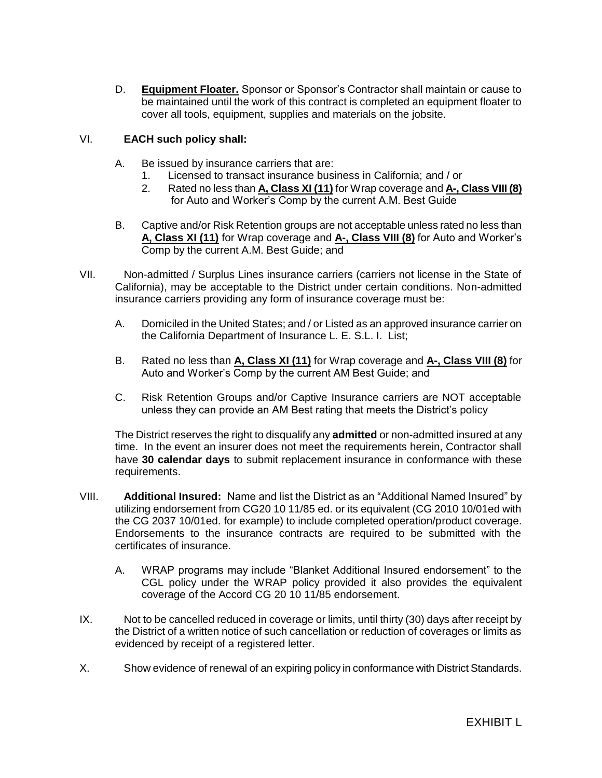D. **Equipment Floater.** Sponsor or Sponsor's Contractor shall maintain or cause to be maintained until the work of this contract is completed an equipment floater to cover all tools, equipment, supplies and materials on the jobsite.

## VI. **EACH such policy shall:**

- A. Be issued by insurance carriers that are:
	- 1. Licensed to transact insurance business in California; and / or
	- 2. Rated no less than **A, Class XI (11)** for Wrap coverage and **A-, Class VIII (8)** for Auto and Worker's Comp by the current A.M. Best Guide
- B. Captive and/or Risk Retention groups are not acceptable unless rated no less than **A, Class XI (11)** for Wrap coverage and **A-, Class VIII (8)** for Auto and Worker's Comp by the current A.M. Best Guide; and
- VII. Non-admitted / Surplus Lines insurance carriers (carriers not license in the State of California), may be acceptable to the District under certain conditions. Non-admitted insurance carriers providing any form of insurance coverage must be:
	- A. Domiciled in the United States; and / or Listed as an approved insurance carrier on the California Department of Insurance L. E. S.L. I. List;
	- B. Rated no less than **A, Class XI (11)** for Wrap coverage and **A-, Class VIII (8)** for Auto and Worker's Comp by the current AM Best Guide; and
	- C. Risk Retention Groups and/or Captive Insurance carriers are NOT acceptable unless they can provide an AM Best rating that meets the District's policy

The District reserves the right to disqualify any **admitted** or non-admitted insured at any time. In the event an insurer does not meet the requirements herein, Contractor shall have **30 calendar days** to submit replacement insurance in conformance with these requirements.

- VIII. **Additional Insured:** Name and list the District as an "Additional Named Insured" by utilizing endorsement from CG20 10 11/85 ed. or its equivalent (CG 2010 10/01ed with the CG 2037 10/01ed. for example) to include completed operation/product coverage. Endorsements to the insurance contracts are required to be submitted with the certificates of insurance.
	- A. WRAP programs may include "Blanket Additional Insured endorsement" to the CGL policy under the WRAP policy provided it also provides the equivalent coverage of the Accord CG 20 10 11/85 endorsement.
- IX. Not to be cancelled reduced in coverage or limits, until thirty (30) days after receipt by the District of a written notice of such cancellation or reduction of coverages or limits as evidenced by receipt of a registered letter.
- X. Show evidence of renewal of an expiring policy in conformance with District Standards.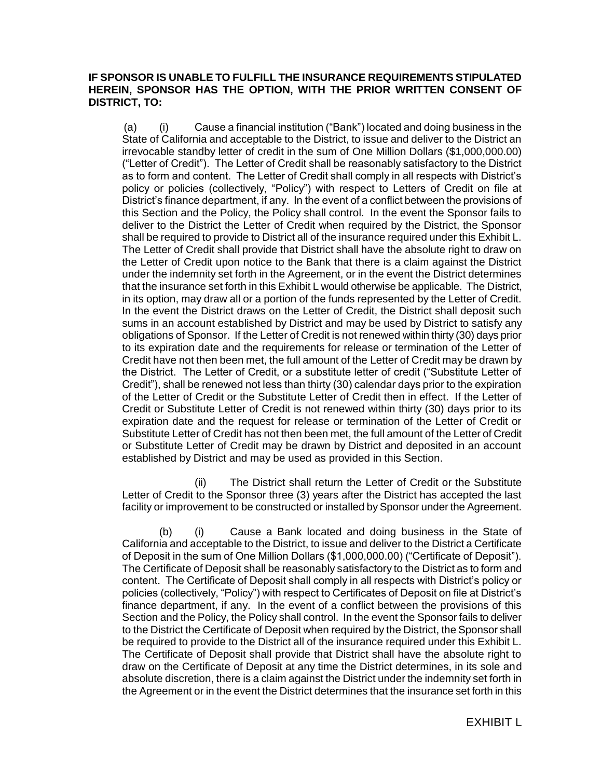## **IF SPONSOR IS UNABLE TO FULFILL THE INSURANCE REQUIREMENTS STIPULATED HEREIN, SPONSOR HAS THE OPTION, WITH THE PRIOR WRITTEN CONSENT OF DISTRICT, TO:**

(a) (i) Cause a financial institution ("Bank") located and doing business in the State of California and acceptable to the District, to issue and deliver to the District an irrevocable standby letter of credit in the sum of One Million Dollars (\$1,000,000.00) ("Letter of Credit"). The Letter of Credit shall be reasonably satisfactory to the District as to form and content. The Letter of Credit shall comply in all respects with District's policy or policies (collectively, "Policy") with respect to Letters of Credit on file at District's finance department, if any. In the event of a conflict between the provisions of this Section and the Policy, the Policy shall control. In the event the Sponsor fails to deliver to the District the Letter of Credit when required by the District, the Sponsor shall be required to provide to District all of the insurance required under this Exhibit L. The Letter of Credit shall provide that District shall have the absolute right to draw on the Letter of Credit upon notice to the Bank that there is a claim against the District under the indemnity set forth in the Agreement, or in the event the District determines that the insurance set forth in this Exhibit L would otherwise be applicable. The District, in its option, may draw all or a portion of the funds represented by the Letter of Credit. In the event the District draws on the Letter of Credit, the District shall deposit such sums in an account established by District and may be used by District to satisfy any obligations of Sponsor. If the Letter of Credit is not renewed within thirty (30) days prior to its expiration date and the requirements for release or termination of the Letter of Credit have not then been met, the full amount of the Letter of Credit may be drawn by the District. The Letter of Credit, or a substitute letter of credit ("Substitute Letter of Credit"), shall be renewed not less than thirty (30) calendar days prior to the expiration of the Letter of Credit or the Substitute Letter of Credit then in effect. If the Letter of Credit or Substitute Letter of Credit is not renewed within thirty (30) days prior to its expiration date and the request for release or termination of the Letter of Credit or Substitute Letter of Credit has not then been met, the full amount of the Letter of Credit or Substitute Letter of Credit may be drawn by District and deposited in an account established by District and may be used as provided in this Section.

(ii) The District shall return the Letter of Credit or the Substitute Letter of Credit to the Sponsor three (3) years after the District has accepted the last facility or improvement to be constructed or installed by Sponsor under the Agreement.

(b) (i) Cause a Bank located and doing business in the State of California and acceptable to the District, to issue and deliver to the District a Certificate of Deposit in the sum of One Million Dollars (\$1,000,000.00) ("Certificate of Deposit"). The Certificate of Deposit shall be reasonably satisfactory to the District as to form and content. The Certificate of Deposit shall comply in all respects with District's policy or policies (collectively, "Policy") with respect to Certificates of Deposit on file at District's finance department, if any. In the event of a conflict between the provisions of this Section and the Policy, the Policy shall control. In the event the Sponsor fails to deliver to the District the Certificate of Deposit when required by the District, the Sponsor shall be required to provide to the District all of the insurance required under this Exhibit L. The Certificate of Deposit shall provide that District shall have the absolute right to draw on the Certificate of Deposit at any time the District determines, in its sole and absolute discretion, there is a claim against the District under the indemnity set forth in the Agreement or in the event the District determines that the insurance set forth in this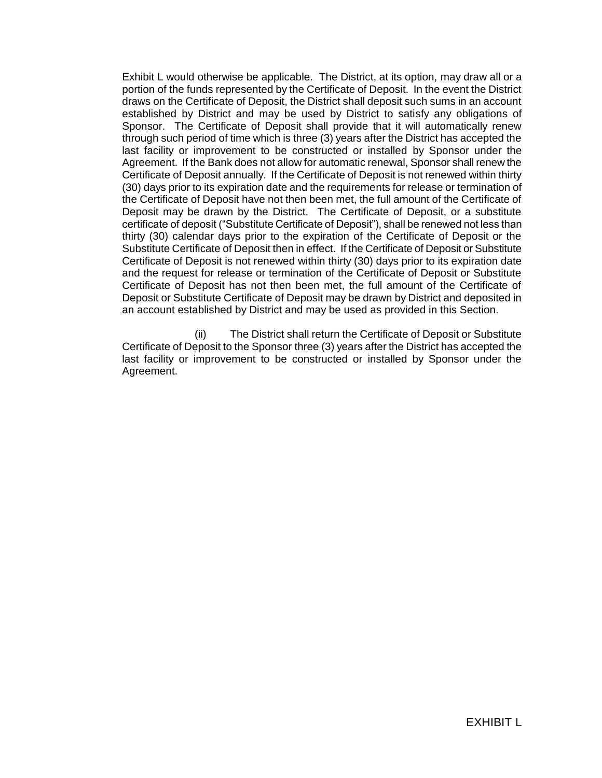Exhibit L would otherwise be applicable. The District, at its option, may draw all or a portion of the funds represented by the Certificate of Deposit. In the event the District draws on the Certificate of Deposit, the District shall deposit such sums in an account established by District and may be used by District to satisfy any obligations of Sponsor. The Certificate of Deposit shall provide that it will automatically renew through such period of time which is three (3) years after the District has accepted the last facility or improvement to be constructed or installed by Sponsor under the Agreement. If the Bank does not allow for automatic renewal, Sponsor shall renew the Certificate of Deposit annually. If the Certificate of Deposit is not renewed within thirty (30) days prior to its expiration date and the requirements for release or termination of the Certificate of Deposit have not then been met, the full amount of the Certificate of Deposit may be drawn by the District. The Certificate of Deposit, or a substitute certificate of deposit ("Substitute Certificate of Deposit"), shall be renewed not less than thirty (30) calendar days prior to the expiration of the Certificate of Deposit or the Substitute Certificate of Deposit then in effect. If the Certificate of Deposit or Substitute Certificate of Deposit is not renewed within thirty (30) days prior to its expiration date and the request for release or termination of the Certificate of Deposit or Substitute Certificate of Deposit has not then been met, the full amount of the Certificate of Deposit or Substitute Certificate of Deposit may be drawn by District and deposited in an account established by District and may be used as provided in this Section.

(ii) The District shall return the Certificate of Deposit or Substitute Certificate of Deposit to the Sponsor three (3) years after the District has accepted the last facility or improvement to be constructed or installed by Sponsor under the Agreement.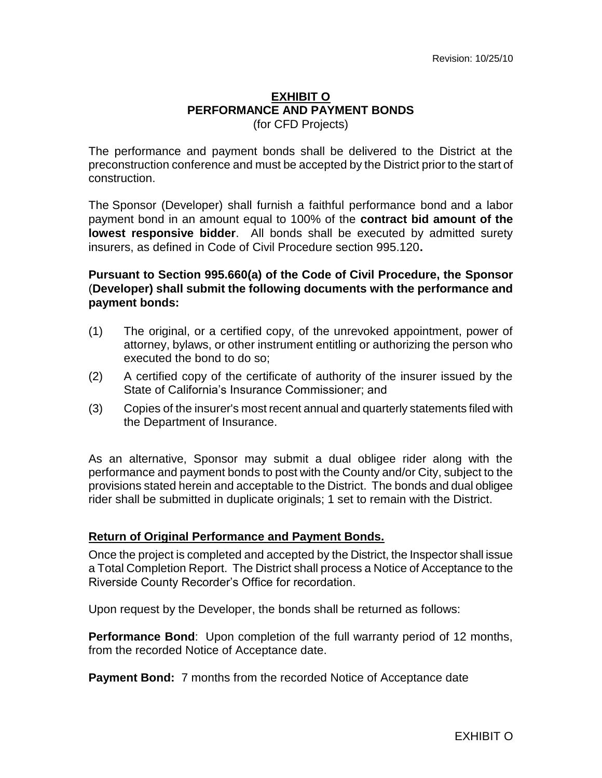## **EXHIBIT O PERFORMANCE AND PAYMENT BONDS** (for CFD Projects)

The performance and payment bonds shall be delivered to the District at the preconstruction conference and must be accepted by the District prior to the start of construction.

The Sponsor (Developer) shall furnish a faithful performance bond and a labor payment bond in an amount equal to 100% of the **contract bid amount of the lowest responsive bidder**. All bonds shall be executed by admitted surety insurers, as defined in Code of Civil Procedure section 995.120**.**

# **Pursuant to Section 995.660(a) of the Code of Civil Procedure, the Sponsor** (**Developer) shall submit the following documents with the performance and payment bonds:**

- (1) The original, or a certified copy, of the unrevoked appointment, power of attorney, bylaws, or other instrument entitling or authorizing the person who executed the bond to do so;
- (2) A certified copy of the certificate of authority of the insurer issued by the State of California's Insurance Commissioner; and
- (3) Copies of the insurer's most recent annual and quarterly statements filed with the Department of Insurance.

As an alternative, Sponsor may submit a dual obligee rider along with the performance and payment bonds to post with the County and/or City, subject to the provisions stated herein and acceptable to the District. The bonds and dual obligee rider shall be submitted in duplicate originals; 1 set to remain with the District.

# **Return of Original Performance and Payment Bonds.**

Once the project is completed and accepted by the District, the Inspector shall issue a Total Completion Report. The District shall process a Notice of Acceptance to the Riverside County Recorder's Office for recordation.

Upon request by the Developer, the bonds shall be returned as follows:

**Performance Bond**: Upon completion of the full warranty period of 12 months, from the recorded Notice of Acceptance date.

**Payment Bond:** 7 months from the recorded Notice of Acceptance date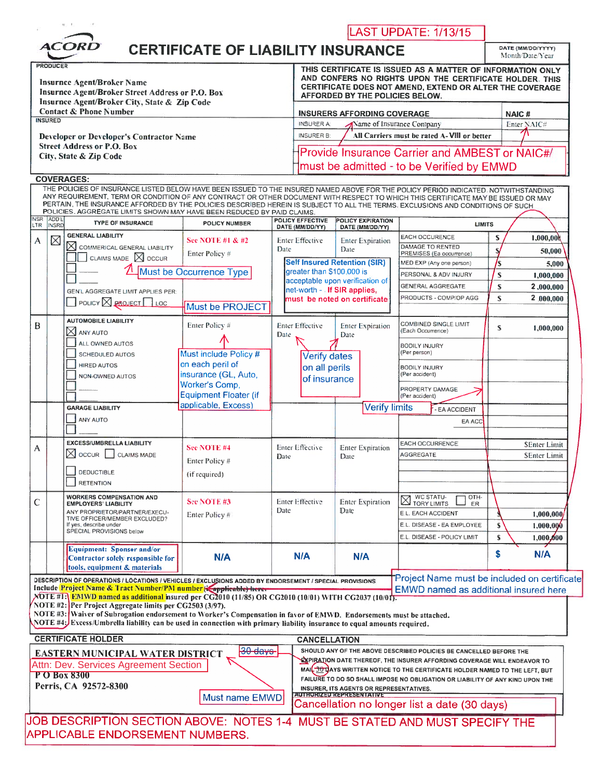| <b>ACORD</b><br><b>CERTIFICATE OF LIABILITY INSURANCE</b><br>DATE (MM/DD/YYYY)<br>Month/Date/Year<br>THIS CERTIFICATE IS ISSUED AS A MATTER OF INFORMATION ONLY<br>AND CONFERS NO RIGHTS UPON THE CERTIFICATE HOLDER. THIS<br><b>Insurnce Agent/Broker Name</b><br>CERTIFICATE DOES NOT AMEND, EXTEND OR ALTER THE COVERAGE<br>Insurnce Agent/Broker Street Address or P.O. Box<br>AFFORDED BY THE POLICIES BELOW.<br>Insurnce Agent/Broker City, State & Zip Code<br><b>Contact &amp; Phone Number</b><br><b>INSURERS AFFORDING COVERAGE</b><br>NAIC#<br>Enter NAIC#<br><b>INSURER A:</b><br>Name of Insurance Company<br>All Carriers must be rated A-VIII or better<br><b>INSURER B:</b><br><b>Developer or Developer's Contractor Name</b><br><b>Street Address or P.O. Box</b><br>Provide Insurance Carrier and AMBEST or NAIC#/<br>City, State & Zip Code<br>must be admitted - to be Verified by EMWD<br><b>COVERAGES:</b><br>THE POLICIES OF INSURANCE LISTED BELOW HAVE BEEN ISSUED TO THE INSURED NAMED ABOVE FOR THE POLICY PERIOD INDICATED, NOTWITHSTANDING<br>ANY REQUIREMENT, TERM OR CONDITION OF ANY CONTRACT OR OTHER DOCUMENT WITH RESPECT TO WHICH THIS CERTIFICATE MAY BE ISSUED OR MAY<br>PERTAIN, THE INSURANCE AFFORDED BY THE POLICIES DESCRIBED HEREIN IS SUBJECT TO ALL THE TERMS, EXCLUSIONS AND CONDITIONS OF SUCH<br>POLICIES. AGGREGATE LIMITS SHOWN MAY HAVE BEEN REDUCED BY PAID CLAIMS<br><b>POLICY EFFECTIVE</b><br>POLICY EXPIRATION<br><b>TYPE OF INSURANCE</b><br><b>POLICY NUMBER</b><br><b>LIMITS</b><br>DATE (MM/DD/YY)<br>DATE (MM/DD/YY)<br><b>GENERAL LIABILITY</b><br>EACH OCCURENCE<br>S<br>1,000,00<br><b>See NOTE #1 &amp; #2</b><br><b>Enter Effective</b><br><b>Enter Expiration</b><br>$\times$ commerical general liability<br>DAMAGE TO RENTED<br>Date<br>Date<br>50,000<br>Enter Policy #<br>PREMISES (Ea occurrence)<br>CLAIMS MADE $\boxtimes$ OCCUR<br><b>Self Insured Retention (SIR)</b><br>MED EXP (Any one person)<br>5,000<br>Must be Occurrence Type<br>greater than \$100,000 is<br>PERSONAL & ADV INJURY<br>S<br>1,000,000<br>acceptable upon verification of<br>S<br><b>GENERAL AGGREGATE</b><br>2,000,000<br>net-worth - If SIR applies,<br>GEN'L AGGREGATE LIMIT APPLIES PER:<br>PRODUCTS - COMP/OP AGG<br>S<br>2 000.000<br>must be noted on certificate<br>$\Box$ POLICY $\boxtimes$ <b>PROJECT</b> $\Box$ LOC<br>Must be PROJECT<br><b>AUTOMOBILE LIABILITY</b><br><b>COMBINED SINGLE LIMIT</b><br>Enter Policy #<br><b>Enter Effective</b><br><b>Enter Expiration</b><br>S<br>1,000,000<br>$\boxtimes$ any auto<br>(Each Occurrence)<br>Date<br>Date<br>ALL OWNED AUTOS<br><b>BODILY INJURY</b><br>(Per person)<br>Must include Policy #<br><b>SCHEDULED AUTOS</b><br><b>Verify dates</b><br>on each peril of<br><b>HIRED AUTOS</b><br>on all perils<br><b>BODILY INJURY</b><br>insurance (GL, Auto,<br>(Per accident)<br>NON-OWNED AUTOS<br>of insurance<br>Worker's Comp,<br>PROPERTY DAMAGE<br><b>Equipment Floater (if</b><br>(Per accident)<br>applicable, Excess)<br><b>Verify limits</b><br><b>GARAGE LIABILITY</b><br>- EA ACCIDENT<br>ANY AUTO<br>EA ACC<br><b>EXCESS/UMBRELLA LIABILITY</b><br><b>EACH OCCURRENCE</b><br><b>SEnter Limit</b><br>See NOTE #4<br><b>Enter Effective</b><br><b>Enter Expiration</b><br>$\boxtimes$ occure $\Box$ claims made<br><b>AGGREGATE</b><br><b>SEnter Limit</b><br>Date<br>Date<br>Enter Policy #<br><b>DEDUCTIBLE</b><br>(if required)<br><b>RETENTION</b><br><b>N</b> WC STATU-<br>TORY LIMITS<br>OTH-<br><b>WORKERS COMPENSATION AND</b><br><b>See NOTE #3</b><br><b>Enter Effective</b><br><b>Enter Expiration</b><br><b>EMPLOYERS' LIABILITY</b><br>ER<br>Date<br>Date<br>ANY PROPRIETOR/PARTNER/EXECU-<br>E.L. EACH ACCIDENT<br>1,000,000<br>Enter Policy#<br>TIVE OFFICER/MEMBER EXCLUDED?<br>E.L. DISEASE - EA EMPLOYEE<br>If yes, describe under<br>S<br>1,000,000<br>SPECIAL PROVISIONS below<br>E.L. DISEASE - POLICY LIMIT<br>S<br>1,000,000<br><b>Equipment: Sponsor and/or</b><br>\$<br>N/A<br>N/A<br><b>N/A</b><br>N/A<br>Contractor solely responsible for<br>tools, equipment & materials<br>"Project Name must be included on certificate<br>DESCRIPTION OF OPERATIONS / LOCATIONS / VEHICLES / EXCLUSIONS ADDED BY ENDORSEMENT / SPECIAL PROVISIONS<br>Include Project Name & Tract Number/PM number (Capplicable) here.<br>EMWD named as additional insured here<br>NOTE #13 EMWD named as additional insured per CG2010 (11/85) OR CG2010 (10/01) WITH CG2037 (10/01).<br>NOTE #2: Per Project Aggregate limits per CG2503 (3/97).<br>NOTE #3: Waiver of Subrogation endorsement to Worker's Compensation in favor of EMWD. Endorsements must be attached.<br>NOTE #4: Excess/Umbrella liability can be used in connection with primary liability insurance to equal amounts required.<br><b>CERTIFICATE HOLDER</b><br><b>CANCELLATION</b><br>30 days<br>SHOULD ANY OF THE ABOVE DESCRIBED POLICIES BE CANCELLED BEFORE THE<br>EASTERN MUNICIPAL WATER DISTRICT<br><b>EXPIRATION DATE THEREOF, THE INSURER AFFORDING COVERAGE WILL ENDEAVOR TO</b><br>Attn: Dev. Services Agreement Section<br>MAIL 30 DAYS WRITTEN NOTICE TO THE CERTIFICATE HOLDER NAMED TO THE LEFT, BUT<br>FAILURE TO DO SO SHALL IMPOSE NO OBLIGATION OR LIABILITY OF ANY KIND UPON THE<br>INSURER, ITS AGENTS OR REPRESENTATIVES.<br><b>AUTHORIZED REPRESENTATIVE</b><br>Must name EMWD<br>Cancellation no longer list a date (30 days)<br>JOB DESCRIPTION SECTION ABOVE: NOTES 1-4 MUST BE STATED AND MUST SPECIFY THE<br><b>APPLICABLE ENDORSEMENT NUMBERS.</b> |                             | H. F. |  |  |  |  |  | LAST UPDATE: 1/13/15 |  |  |  |
|-------------------------------------------------------------------------------------------------------------------------------------------------------------------------------------------------------------------------------------------------------------------------------------------------------------------------------------------------------------------------------------------------------------------------------------------------------------------------------------------------------------------------------------------------------------------------------------------------------------------------------------------------------------------------------------------------------------------------------------------------------------------------------------------------------------------------------------------------------------------------------------------------------------------------------------------------------------------------------------------------------------------------------------------------------------------------------------------------------------------------------------------------------------------------------------------------------------------------------------------------------------------------------------------------------------------------------------------------------------------------------------------------------------------------------------------------------------------------------------------------------------------------------------------------------------------------------------------------------------------------------------------------------------------------------------------------------------------------------------------------------------------------------------------------------------------------------------------------------------------------------------------------------------------------------------------------------------------------------------------------------------------------------------------------------------------------------------------------------------------------------------------------------------------------------------------------------------------------------------------------------------------------------------------------------------------------------------------------------------------------------------------------------------------------------------------------------------------------------------------------------------------------------------------------------------------------------------------------------------------------------------------------------------------------------------------------------------------------------------------------------------------------------------------------------------------------------------------------------------------------------------------------------------------------------------------------------------------------------------------------------------------------------------------------------------------------------------------------------------------------------------------------------------------------------------------------------------------------------------------------------------------------------------------------------------------------------------------------------------------------------------------------------------------------------------------------------------------------------------------------------------------------------------------------------------------------------------------------------------------------------------------------------------------------------------------------------------------------------------------------------------------------------------------------------------------------------------------------------------------------------------------------------------------------------------------------------------------------------------------------------------------------------------------------------------------------------------------------------------------------------------------------------------------------------------------------------------------------------------------------------------------------------------------------------------------------------------------------------------------------------------------------------------------------------------------------------------------------------------------------------------------------------------------------------------------------------------------------------------------------------------------------------------------------------------------------------------------------------------------------------------------------------------------------------------------------------------------------------------------------------------------------------------------------------------------------------------------------------------------------------------------------------------------------------------------------------------------------------------------------------------------------------------------------------------------------------------------------------------------------------------------------------------------------------------------------------------------------------------------------------------------------------------------------------------------------------------------------------------------------------------------------------------------------------------------------------------|-----------------------------|-------|--|--|--|--|--|----------------------|--|--|--|
|                                                                                                                                                                                                                                                                                                                                                                                                                                                                                                                                                                                                                                                                                                                                                                                                                                                                                                                                                                                                                                                                                                                                                                                                                                                                                                                                                                                                                                                                                                                                                                                                                                                                                                                                                                                                                                                                                                                                                                                                                                                                                                                                                                                                                                                                                                                                                                                                                                                                                                                                                                                                                                                                                                                                                                                                                                                                                                                                                                                                                                                                                                                                                                                                                                                                                                                                                                                                                                                                                                                                                                                                                                                                                                                                                                                                                                                                                                                                                                                                                                                                                                                                                                                                                                                                                                                                                                                                                                                                                                                                                                                                                                                                                                                                                                                                                                                                                                                                                                                                                                                                                                                                                                                                                                                                                                                                                                                                                                                                                                                                                                                     |                             |       |  |  |  |  |  |                      |  |  |  |
|                                                                                                                                                                                                                                                                                                                                                                                                                                                                                                                                                                                                                                                                                                                                                                                                                                                                                                                                                                                                                                                                                                                                                                                                                                                                                                                                                                                                                                                                                                                                                                                                                                                                                                                                                                                                                                                                                                                                                                                                                                                                                                                                                                                                                                                                                                                                                                                                                                                                                                                                                                                                                                                                                                                                                                                                                                                                                                                                                                                                                                                                                                                                                                                                                                                                                                                                                                                                                                                                                                                                                                                                                                                                                                                                                                                                                                                                                                                                                                                                                                                                                                                                                                                                                                                                                                                                                                                                                                                                                                                                                                                                                                                                                                                                                                                                                                                                                                                                                                                                                                                                                                                                                                                                                                                                                                                                                                                                                                                                                                                                                                                     | <b>PRODUCER</b>             |       |  |  |  |  |  |                      |  |  |  |
|                                                                                                                                                                                                                                                                                                                                                                                                                                                                                                                                                                                                                                                                                                                                                                                                                                                                                                                                                                                                                                                                                                                                                                                                                                                                                                                                                                                                                                                                                                                                                                                                                                                                                                                                                                                                                                                                                                                                                                                                                                                                                                                                                                                                                                                                                                                                                                                                                                                                                                                                                                                                                                                                                                                                                                                                                                                                                                                                                                                                                                                                                                                                                                                                                                                                                                                                                                                                                                                                                                                                                                                                                                                                                                                                                                                                                                                                                                                                                                                                                                                                                                                                                                                                                                                                                                                                                                                                                                                                                                                                                                                                                                                                                                                                                                                                                                                                                                                                                                                                                                                                                                                                                                                                                                                                                                                                                                                                                                                                                                                                                                                     |                             |       |  |  |  |  |  |                      |  |  |  |
|                                                                                                                                                                                                                                                                                                                                                                                                                                                                                                                                                                                                                                                                                                                                                                                                                                                                                                                                                                                                                                                                                                                                                                                                                                                                                                                                                                                                                                                                                                                                                                                                                                                                                                                                                                                                                                                                                                                                                                                                                                                                                                                                                                                                                                                                                                                                                                                                                                                                                                                                                                                                                                                                                                                                                                                                                                                                                                                                                                                                                                                                                                                                                                                                                                                                                                                                                                                                                                                                                                                                                                                                                                                                                                                                                                                                                                                                                                                                                                                                                                                                                                                                                                                                                                                                                                                                                                                                                                                                                                                                                                                                                                                                                                                                                                                                                                                                                                                                                                                                                                                                                                                                                                                                                                                                                                                                                                                                                                                                                                                                                                                     | <b>INSURED</b>              |       |  |  |  |  |  |                      |  |  |  |
|                                                                                                                                                                                                                                                                                                                                                                                                                                                                                                                                                                                                                                                                                                                                                                                                                                                                                                                                                                                                                                                                                                                                                                                                                                                                                                                                                                                                                                                                                                                                                                                                                                                                                                                                                                                                                                                                                                                                                                                                                                                                                                                                                                                                                                                                                                                                                                                                                                                                                                                                                                                                                                                                                                                                                                                                                                                                                                                                                                                                                                                                                                                                                                                                                                                                                                                                                                                                                                                                                                                                                                                                                                                                                                                                                                                                                                                                                                                                                                                                                                                                                                                                                                                                                                                                                                                                                                                                                                                                                                                                                                                                                                                                                                                                                                                                                                                                                                                                                                                                                                                                                                                                                                                                                                                                                                                                                                                                                                                                                                                                                                                     |                             |       |  |  |  |  |  |                      |  |  |  |
|                                                                                                                                                                                                                                                                                                                                                                                                                                                                                                                                                                                                                                                                                                                                                                                                                                                                                                                                                                                                                                                                                                                                                                                                                                                                                                                                                                                                                                                                                                                                                                                                                                                                                                                                                                                                                                                                                                                                                                                                                                                                                                                                                                                                                                                                                                                                                                                                                                                                                                                                                                                                                                                                                                                                                                                                                                                                                                                                                                                                                                                                                                                                                                                                                                                                                                                                                                                                                                                                                                                                                                                                                                                                                                                                                                                                                                                                                                                                                                                                                                                                                                                                                                                                                                                                                                                                                                                                                                                                                                                                                                                                                                                                                                                                                                                                                                                                                                                                                                                                                                                                                                                                                                                                                                                                                                                                                                                                                                                                                                                                                                                     |                             |       |  |  |  |  |  |                      |  |  |  |
|                                                                                                                                                                                                                                                                                                                                                                                                                                                                                                                                                                                                                                                                                                                                                                                                                                                                                                                                                                                                                                                                                                                                                                                                                                                                                                                                                                                                                                                                                                                                                                                                                                                                                                                                                                                                                                                                                                                                                                                                                                                                                                                                                                                                                                                                                                                                                                                                                                                                                                                                                                                                                                                                                                                                                                                                                                                                                                                                                                                                                                                                                                                                                                                                                                                                                                                                                                                                                                                                                                                                                                                                                                                                                                                                                                                                                                                                                                                                                                                                                                                                                                                                                                                                                                                                                                                                                                                                                                                                                                                                                                                                                                                                                                                                                                                                                                                                                                                                                                                                                                                                                                                                                                                                                                                                                                                                                                                                                                                                                                                                                                                     |                             |       |  |  |  |  |  |                      |  |  |  |
|                                                                                                                                                                                                                                                                                                                                                                                                                                                                                                                                                                                                                                                                                                                                                                                                                                                                                                                                                                                                                                                                                                                                                                                                                                                                                                                                                                                                                                                                                                                                                                                                                                                                                                                                                                                                                                                                                                                                                                                                                                                                                                                                                                                                                                                                                                                                                                                                                                                                                                                                                                                                                                                                                                                                                                                                                                                                                                                                                                                                                                                                                                                                                                                                                                                                                                                                                                                                                                                                                                                                                                                                                                                                                                                                                                                                                                                                                                                                                                                                                                                                                                                                                                                                                                                                                                                                                                                                                                                                                                                                                                                                                                                                                                                                                                                                                                                                                                                                                                                                                                                                                                                                                                                                                                                                                                                                                                                                                                                                                                                                                                                     |                             |       |  |  |  |  |  |                      |  |  |  |
|                                                                                                                                                                                                                                                                                                                                                                                                                                                                                                                                                                                                                                                                                                                                                                                                                                                                                                                                                                                                                                                                                                                                                                                                                                                                                                                                                                                                                                                                                                                                                                                                                                                                                                                                                                                                                                                                                                                                                                                                                                                                                                                                                                                                                                                                                                                                                                                                                                                                                                                                                                                                                                                                                                                                                                                                                                                                                                                                                                                                                                                                                                                                                                                                                                                                                                                                                                                                                                                                                                                                                                                                                                                                                                                                                                                                                                                                                                                                                                                                                                                                                                                                                                                                                                                                                                                                                                                                                                                                                                                                                                                                                                                                                                                                                                                                                                                                                                                                                                                                                                                                                                                                                                                                                                                                                                                                                                                                                                                                                                                                                                                     | INSR ADD'L<br>LTR.<br>INSRD |       |  |  |  |  |  |                      |  |  |  |
|                                                                                                                                                                                                                                                                                                                                                                                                                                                                                                                                                                                                                                                                                                                                                                                                                                                                                                                                                                                                                                                                                                                                                                                                                                                                                                                                                                                                                                                                                                                                                                                                                                                                                                                                                                                                                                                                                                                                                                                                                                                                                                                                                                                                                                                                                                                                                                                                                                                                                                                                                                                                                                                                                                                                                                                                                                                                                                                                                                                                                                                                                                                                                                                                                                                                                                                                                                                                                                                                                                                                                                                                                                                                                                                                                                                                                                                                                                                                                                                                                                                                                                                                                                                                                                                                                                                                                                                                                                                                                                                                                                                                                                                                                                                                                                                                                                                                                                                                                                                                                                                                                                                                                                                                                                                                                                                                                                                                                                                                                                                                                                                     | $\boxtimes$                 |       |  |  |  |  |  |                      |  |  |  |
|                                                                                                                                                                                                                                                                                                                                                                                                                                                                                                                                                                                                                                                                                                                                                                                                                                                                                                                                                                                                                                                                                                                                                                                                                                                                                                                                                                                                                                                                                                                                                                                                                                                                                                                                                                                                                                                                                                                                                                                                                                                                                                                                                                                                                                                                                                                                                                                                                                                                                                                                                                                                                                                                                                                                                                                                                                                                                                                                                                                                                                                                                                                                                                                                                                                                                                                                                                                                                                                                                                                                                                                                                                                                                                                                                                                                                                                                                                                                                                                                                                                                                                                                                                                                                                                                                                                                                                                                                                                                                                                                                                                                                                                                                                                                                                                                                                                                                                                                                                                                                                                                                                                                                                                                                                                                                                                                                                                                                                                                                                                                                                                     |                             |       |  |  |  |  |  |                      |  |  |  |
|                                                                                                                                                                                                                                                                                                                                                                                                                                                                                                                                                                                                                                                                                                                                                                                                                                                                                                                                                                                                                                                                                                                                                                                                                                                                                                                                                                                                                                                                                                                                                                                                                                                                                                                                                                                                                                                                                                                                                                                                                                                                                                                                                                                                                                                                                                                                                                                                                                                                                                                                                                                                                                                                                                                                                                                                                                                                                                                                                                                                                                                                                                                                                                                                                                                                                                                                                                                                                                                                                                                                                                                                                                                                                                                                                                                                                                                                                                                                                                                                                                                                                                                                                                                                                                                                                                                                                                                                                                                                                                                                                                                                                                                                                                                                                                                                                                                                                                                                                                                                                                                                                                                                                                                                                                                                                                                                                                                                                                                                                                                                                                                     |                             |       |  |  |  |  |  |                      |  |  |  |
|                                                                                                                                                                                                                                                                                                                                                                                                                                                                                                                                                                                                                                                                                                                                                                                                                                                                                                                                                                                                                                                                                                                                                                                                                                                                                                                                                                                                                                                                                                                                                                                                                                                                                                                                                                                                                                                                                                                                                                                                                                                                                                                                                                                                                                                                                                                                                                                                                                                                                                                                                                                                                                                                                                                                                                                                                                                                                                                                                                                                                                                                                                                                                                                                                                                                                                                                                                                                                                                                                                                                                                                                                                                                                                                                                                                                                                                                                                                                                                                                                                                                                                                                                                                                                                                                                                                                                                                                                                                                                                                                                                                                                                                                                                                                                                                                                                                                                                                                                                                                                                                                                                                                                                                                                                                                                                                                                                                                                                                                                                                                                                                     |                             |       |  |  |  |  |  |                      |  |  |  |
|                                                                                                                                                                                                                                                                                                                                                                                                                                                                                                                                                                                                                                                                                                                                                                                                                                                                                                                                                                                                                                                                                                                                                                                                                                                                                                                                                                                                                                                                                                                                                                                                                                                                                                                                                                                                                                                                                                                                                                                                                                                                                                                                                                                                                                                                                                                                                                                                                                                                                                                                                                                                                                                                                                                                                                                                                                                                                                                                                                                                                                                                                                                                                                                                                                                                                                                                                                                                                                                                                                                                                                                                                                                                                                                                                                                                                                                                                                                                                                                                                                                                                                                                                                                                                                                                                                                                                                                                                                                                                                                                                                                                                                                                                                                                                                                                                                                                                                                                                                                                                                                                                                                                                                                                                                                                                                                                                                                                                                                                                                                                                                                     |                             |       |  |  |  |  |  |                      |  |  |  |
|                                                                                                                                                                                                                                                                                                                                                                                                                                                                                                                                                                                                                                                                                                                                                                                                                                                                                                                                                                                                                                                                                                                                                                                                                                                                                                                                                                                                                                                                                                                                                                                                                                                                                                                                                                                                                                                                                                                                                                                                                                                                                                                                                                                                                                                                                                                                                                                                                                                                                                                                                                                                                                                                                                                                                                                                                                                                                                                                                                                                                                                                                                                                                                                                                                                                                                                                                                                                                                                                                                                                                                                                                                                                                                                                                                                                                                                                                                                                                                                                                                                                                                                                                                                                                                                                                                                                                                                                                                                                                                                                                                                                                                                                                                                                                                                                                                                                                                                                                                                                                                                                                                                                                                                                                                                                                                                                                                                                                                                                                                                                                                                     |                             |       |  |  |  |  |  |                      |  |  |  |
|                                                                                                                                                                                                                                                                                                                                                                                                                                                                                                                                                                                                                                                                                                                                                                                                                                                                                                                                                                                                                                                                                                                                                                                                                                                                                                                                                                                                                                                                                                                                                                                                                                                                                                                                                                                                                                                                                                                                                                                                                                                                                                                                                                                                                                                                                                                                                                                                                                                                                                                                                                                                                                                                                                                                                                                                                                                                                                                                                                                                                                                                                                                                                                                                                                                                                                                                                                                                                                                                                                                                                                                                                                                                                                                                                                                                                                                                                                                                                                                                                                                                                                                                                                                                                                                                                                                                                                                                                                                                                                                                                                                                                                                                                                                                                                                                                                                                                                                                                                                                                                                                                                                                                                                                                                                                                                                                                                                                                                                                                                                                                                                     |                             |       |  |  |  |  |  |                      |  |  |  |
|                                                                                                                                                                                                                                                                                                                                                                                                                                                                                                                                                                                                                                                                                                                                                                                                                                                                                                                                                                                                                                                                                                                                                                                                                                                                                                                                                                                                                                                                                                                                                                                                                                                                                                                                                                                                                                                                                                                                                                                                                                                                                                                                                                                                                                                                                                                                                                                                                                                                                                                                                                                                                                                                                                                                                                                                                                                                                                                                                                                                                                                                                                                                                                                                                                                                                                                                                                                                                                                                                                                                                                                                                                                                                                                                                                                                                                                                                                                                                                                                                                                                                                                                                                                                                                                                                                                                                                                                                                                                                                                                                                                                                                                                                                                                                                                                                                                                                                                                                                                                                                                                                                                                                                                                                                                                                                                                                                                                                                                                                                                                                                                     |                             |       |  |  |  |  |  |                      |  |  |  |
|                                                                                                                                                                                                                                                                                                                                                                                                                                                                                                                                                                                                                                                                                                                                                                                                                                                                                                                                                                                                                                                                                                                                                                                                                                                                                                                                                                                                                                                                                                                                                                                                                                                                                                                                                                                                                                                                                                                                                                                                                                                                                                                                                                                                                                                                                                                                                                                                                                                                                                                                                                                                                                                                                                                                                                                                                                                                                                                                                                                                                                                                                                                                                                                                                                                                                                                                                                                                                                                                                                                                                                                                                                                                                                                                                                                                                                                                                                                                                                                                                                                                                                                                                                                                                                                                                                                                                                                                                                                                                                                                                                                                                                                                                                                                                                                                                                                                                                                                                                                                                                                                                                                                                                                                                                                                                                                                                                                                                                                                                                                                                                                     |                             |       |  |  |  |  |  |                      |  |  |  |
|                                                                                                                                                                                                                                                                                                                                                                                                                                                                                                                                                                                                                                                                                                                                                                                                                                                                                                                                                                                                                                                                                                                                                                                                                                                                                                                                                                                                                                                                                                                                                                                                                                                                                                                                                                                                                                                                                                                                                                                                                                                                                                                                                                                                                                                                                                                                                                                                                                                                                                                                                                                                                                                                                                                                                                                                                                                                                                                                                                                                                                                                                                                                                                                                                                                                                                                                                                                                                                                                                                                                                                                                                                                                                                                                                                                                                                                                                                                                                                                                                                                                                                                                                                                                                                                                                                                                                                                                                                                                                                                                                                                                                                                                                                                                                                                                                                                                                                                                                                                                                                                                                                                                                                                                                                                                                                                                                                                                                                                                                                                                                                                     |                             |       |  |  |  |  |  |                      |  |  |  |
|                                                                                                                                                                                                                                                                                                                                                                                                                                                                                                                                                                                                                                                                                                                                                                                                                                                                                                                                                                                                                                                                                                                                                                                                                                                                                                                                                                                                                                                                                                                                                                                                                                                                                                                                                                                                                                                                                                                                                                                                                                                                                                                                                                                                                                                                                                                                                                                                                                                                                                                                                                                                                                                                                                                                                                                                                                                                                                                                                                                                                                                                                                                                                                                                                                                                                                                                                                                                                                                                                                                                                                                                                                                                                                                                                                                                                                                                                                                                                                                                                                                                                                                                                                                                                                                                                                                                                                                                                                                                                                                                                                                                                                                                                                                                                                                                                                                                                                                                                                                                                                                                                                                                                                                                                                                                                                                                                                                                                                                                                                                                                                                     |                             |       |  |  |  |  |  |                      |  |  |  |
|                                                                                                                                                                                                                                                                                                                                                                                                                                                                                                                                                                                                                                                                                                                                                                                                                                                                                                                                                                                                                                                                                                                                                                                                                                                                                                                                                                                                                                                                                                                                                                                                                                                                                                                                                                                                                                                                                                                                                                                                                                                                                                                                                                                                                                                                                                                                                                                                                                                                                                                                                                                                                                                                                                                                                                                                                                                                                                                                                                                                                                                                                                                                                                                                                                                                                                                                                                                                                                                                                                                                                                                                                                                                                                                                                                                                                                                                                                                                                                                                                                                                                                                                                                                                                                                                                                                                                                                                                                                                                                                                                                                                                                                                                                                                                                                                                                                                                                                                                                                                                                                                                                                                                                                                                                                                                                                                                                                                                                                                                                                                                                                     |                             |       |  |  |  |  |  |                      |  |  |  |
|                                                                                                                                                                                                                                                                                                                                                                                                                                                                                                                                                                                                                                                                                                                                                                                                                                                                                                                                                                                                                                                                                                                                                                                                                                                                                                                                                                                                                                                                                                                                                                                                                                                                                                                                                                                                                                                                                                                                                                                                                                                                                                                                                                                                                                                                                                                                                                                                                                                                                                                                                                                                                                                                                                                                                                                                                                                                                                                                                                                                                                                                                                                                                                                                                                                                                                                                                                                                                                                                                                                                                                                                                                                                                                                                                                                                                                                                                                                                                                                                                                                                                                                                                                                                                                                                                                                                                                                                                                                                                                                                                                                                                                                                                                                                                                                                                                                                                                                                                                                                                                                                                                                                                                                                                                                                                                                                                                                                                                                                                                                                                                                     |                             |       |  |  |  |  |  |                      |  |  |  |
|                                                                                                                                                                                                                                                                                                                                                                                                                                                                                                                                                                                                                                                                                                                                                                                                                                                                                                                                                                                                                                                                                                                                                                                                                                                                                                                                                                                                                                                                                                                                                                                                                                                                                                                                                                                                                                                                                                                                                                                                                                                                                                                                                                                                                                                                                                                                                                                                                                                                                                                                                                                                                                                                                                                                                                                                                                                                                                                                                                                                                                                                                                                                                                                                                                                                                                                                                                                                                                                                                                                                                                                                                                                                                                                                                                                                                                                                                                                                                                                                                                                                                                                                                                                                                                                                                                                                                                                                                                                                                                                                                                                                                                                                                                                                                                                                                                                                                                                                                                                                                                                                                                                                                                                                                                                                                                                                                                                                                                                                                                                                                                                     |                             |       |  |  |  |  |  |                      |  |  |  |
|                                                                                                                                                                                                                                                                                                                                                                                                                                                                                                                                                                                                                                                                                                                                                                                                                                                                                                                                                                                                                                                                                                                                                                                                                                                                                                                                                                                                                                                                                                                                                                                                                                                                                                                                                                                                                                                                                                                                                                                                                                                                                                                                                                                                                                                                                                                                                                                                                                                                                                                                                                                                                                                                                                                                                                                                                                                                                                                                                                                                                                                                                                                                                                                                                                                                                                                                                                                                                                                                                                                                                                                                                                                                                                                                                                                                                                                                                                                                                                                                                                                                                                                                                                                                                                                                                                                                                                                                                                                                                                                                                                                                                                                                                                                                                                                                                                                                                                                                                                                                                                                                                                                                                                                                                                                                                                                                                                                                                                                                                                                                                                                     |                             |       |  |  |  |  |  |                      |  |  |  |
|                                                                                                                                                                                                                                                                                                                                                                                                                                                                                                                                                                                                                                                                                                                                                                                                                                                                                                                                                                                                                                                                                                                                                                                                                                                                                                                                                                                                                                                                                                                                                                                                                                                                                                                                                                                                                                                                                                                                                                                                                                                                                                                                                                                                                                                                                                                                                                                                                                                                                                                                                                                                                                                                                                                                                                                                                                                                                                                                                                                                                                                                                                                                                                                                                                                                                                                                                                                                                                                                                                                                                                                                                                                                                                                                                                                                                                                                                                                                                                                                                                                                                                                                                                                                                                                                                                                                                                                                                                                                                                                                                                                                                                                                                                                                                                                                                                                                                                                                                                                                                                                                                                                                                                                                                                                                                                                                                                                                                                                                                                                                                                                     |                             |       |  |  |  |  |  |                      |  |  |  |
|                                                                                                                                                                                                                                                                                                                                                                                                                                                                                                                                                                                                                                                                                                                                                                                                                                                                                                                                                                                                                                                                                                                                                                                                                                                                                                                                                                                                                                                                                                                                                                                                                                                                                                                                                                                                                                                                                                                                                                                                                                                                                                                                                                                                                                                                                                                                                                                                                                                                                                                                                                                                                                                                                                                                                                                                                                                                                                                                                                                                                                                                                                                                                                                                                                                                                                                                                                                                                                                                                                                                                                                                                                                                                                                                                                                                                                                                                                                                                                                                                                                                                                                                                                                                                                                                                                                                                                                                                                                                                                                                                                                                                                                                                                                                                                                                                                                                                                                                                                                                                                                                                                                                                                                                                                                                                                                                                                                                                                                                                                                                                                                     |                             |       |  |  |  |  |  |                      |  |  |  |
|                                                                                                                                                                                                                                                                                                                                                                                                                                                                                                                                                                                                                                                                                                                                                                                                                                                                                                                                                                                                                                                                                                                                                                                                                                                                                                                                                                                                                                                                                                                                                                                                                                                                                                                                                                                                                                                                                                                                                                                                                                                                                                                                                                                                                                                                                                                                                                                                                                                                                                                                                                                                                                                                                                                                                                                                                                                                                                                                                                                                                                                                                                                                                                                                                                                                                                                                                                                                                                                                                                                                                                                                                                                                                                                                                                                                                                                                                                                                                                                                                                                                                                                                                                                                                                                                                                                                                                                                                                                                                                                                                                                                                                                                                                                                                                                                                                                                                                                                                                                                                                                                                                                                                                                                                                                                                                                                                                                                                                                                                                                                                                                     |                             |       |  |  |  |  |  |                      |  |  |  |
|                                                                                                                                                                                                                                                                                                                                                                                                                                                                                                                                                                                                                                                                                                                                                                                                                                                                                                                                                                                                                                                                                                                                                                                                                                                                                                                                                                                                                                                                                                                                                                                                                                                                                                                                                                                                                                                                                                                                                                                                                                                                                                                                                                                                                                                                                                                                                                                                                                                                                                                                                                                                                                                                                                                                                                                                                                                                                                                                                                                                                                                                                                                                                                                                                                                                                                                                                                                                                                                                                                                                                                                                                                                                                                                                                                                                                                                                                                                                                                                                                                                                                                                                                                                                                                                                                                                                                                                                                                                                                                                                                                                                                                                                                                                                                                                                                                                                                                                                                                                                                                                                                                                                                                                                                                                                                                                                                                                                                                                                                                                                                                                     |                             |       |  |  |  |  |  |                      |  |  |  |
|                                                                                                                                                                                                                                                                                                                                                                                                                                                                                                                                                                                                                                                                                                                                                                                                                                                                                                                                                                                                                                                                                                                                                                                                                                                                                                                                                                                                                                                                                                                                                                                                                                                                                                                                                                                                                                                                                                                                                                                                                                                                                                                                                                                                                                                                                                                                                                                                                                                                                                                                                                                                                                                                                                                                                                                                                                                                                                                                                                                                                                                                                                                                                                                                                                                                                                                                                                                                                                                                                                                                                                                                                                                                                                                                                                                                                                                                                                                                                                                                                                                                                                                                                                                                                                                                                                                                                                                                                                                                                                                                                                                                                                                                                                                                                                                                                                                                                                                                                                                                                                                                                                                                                                                                                                                                                                                                                                                                                                                                                                                                                                                     |                             |       |  |  |  |  |  |                      |  |  |  |
|                                                                                                                                                                                                                                                                                                                                                                                                                                                                                                                                                                                                                                                                                                                                                                                                                                                                                                                                                                                                                                                                                                                                                                                                                                                                                                                                                                                                                                                                                                                                                                                                                                                                                                                                                                                                                                                                                                                                                                                                                                                                                                                                                                                                                                                                                                                                                                                                                                                                                                                                                                                                                                                                                                                                                                                                                                                                                                                                                                                                                                                                                                                                                                                                                                                                                                                                                                                                                                                                                                                                                                                                                                                                                                                                                                                                                                                                                                                                                                                                                                                                                                                                                                                                                                                                                                                                                                                                                                                                                                                                                                                                                                                                                                                                                                                                                                                                                                                                                                                                                                                                                                                                                                                                                                                                                                                                                                                                                                                                                                                                                                                     |                             |       |  |  |  |  |  |                      |  |  |  |
|                                                                                                                                                                                                                                                                                                                                                                                                                                                                                                                                                                                                                                                                                                                                                                                                                                                                                                                                                                                                                                                                                                                                                                                                                                                                                                                                                                                                                                                                                                                                                                                                                                                                                                                                                                                                                                                                                                                                                                                                                                                                                                                                                                                                                                                                                                                                                                                                                                                                                                                                                                                                                                                                                                                                                                                                                                                                                                                                                                                                                                                                                                                                                                                                                                                                                                                                                                                                                                                                                                                                                                                                                                                                                                                                                                                                                                                                                                                                                                                                                                                                                                                                                                                                                                                                                                                                                                                                                                                                                                                                                                                                                                                                                                                                                                                                                                                                                                                                                                                                                                                                                                                                                                                                                                                                                                                                                                                                                                                                                                                                                                                     |                             |       |  |  |  |  |  |                      |  |  |  |
|                                                                                                                                                                                                                                                                                                                                                                                                                                                                                                                                                                                                                                                                                                                                                                                                                                                                                                                                                                                                                                                                                                                                                                                                                                                                                                                                                                                                                                                                                                                                                                                                                                                                                                                                                                                                                                                                                                                                                                                                                                                                                                                                                                                                                                                                                                                                                                                                                                                                                                                                                                                                                                                                                                                                                                                                                                                                                                                                                                                                                                                                                                                                                                                                                                                                                                                                                                                                                                                                                                                                                                                                                                                                                                                                                                                                                                                                                                                                                                                                                                                                                                                                                                                                                                                                                                                                                                                                                                                                                                                                                                                                                                                                                                                                                                                                                                                                                                                                                                                                                                                                                                                                                                                                                                                                                                                                                                                                                                                                                                                                                                                     |                             |       |  |  |  |  |  |                      |  |  |  |
|                                                                                                                                                                                                                                                                                                                                                                                                                                                                                                                                                                                                                                                                                                                                                                                                                                                                                                                                                                                                                                                                                                                                                                                                                                                                                                                                                                                                                                                                                                                                                                                                                                                                                                                                                                                                                                                                                                                                                                                                                                                                                                                                                                                                                                                                                                                                                                                                                                                                                                                                                                                                                                                                                                                                                                                                                                                                                                                                                                                                                                                                                                                                                                                                                                                                                                                                                                                                                                                                                                                                                                                                                                                                                                                                                                                                                                                                                                                                                                                                                                                                                                                                                                                                                                                                                                                                                                                                                                                                                                                                                                                                                                                                                                                                                                                                                                                                                                                                                                                                                                                                                                                                                                                                                                                                                                                                                                                                                                                                                                                                                                                     |                             |       |  |  |  |  |  |                      |  |  |  |
|                                                                                                                                                                                                                                                                                                                                                                                                                                                                                                                                                                                                                                                                                                                                                                                                                                                                                                                                                                                                                                                                                                                                                                                                                                                                                                                                                                                                                                                                                                                                                                                                                                                                                                                                                                                                                                                                                                                                                                                                                                                                                                                                                                                                                                                                                                                                                                                                                                                                                                                                                                                                                                                                                                                                                                                                                                                                                                                                                                                                                                                                                                                                                                                                                                                                                                                                                                                                                                                                                                                                                                                                                                                                                                                                                                                                                                                                                                                                                                                                                                                                                                                                                                                                                                                                                                                                                                                                                                                                                                                                                                                                                                                                                                                                                                                                                                                                                                                                                                                                                                                                                                                                                                                                                                                                                                                                                                                                                                                                                                                                                                                     |                             |       |  |  |  |  |  |                      |  |  |  |
|                                                                                                                                                                                                                                                                                                                                                                                                                                                                                                                                                                                                                                                                                                                                                                                                                                                                                                                                                                                                                                                                                                                                                                                                                                                                                                                                                                                                                                                                                                                                                                                                                                                                                                                                                                                                                                                                                                                                                                                                                                                                                                                                                                                                                                                                                                                                                                                                                                                                                                                                                                                                                                                                                                                                                                                                                                                                                                                                                                                                                                                                                                                                                                                                                                                                                                                                                                                                                                                                                                                                                                                                                                                                                                                                                                                                                                                                                                                                                                                                                                                                                                                                                                                                                                                                                                                                                                                                                                                                                                                                                                                                                                                                                                                                                                                                                                                                                                                                                                                                                                                                                                                                                                                                                                                                                                                                                                                                                                                                                                                                                                                     |                             |       |  |  |  |  |  |                      |  |  |  |
|                                                                                                                                                                                                                                                                                                                                                                                                                                                                                                                                                                                                                                                                                                                                                                                                                                                                                                                                                                                                                                                                                                                                                                                                                                                                                                                                                                                                                                                                                                                                                                                                                                                                                                                                                                                                                                                                                                                                                                                                                                                                                                                                                                                                                                                                                                                                                                                                                                                                                                                                                                                                                                                                                                                                                                                                                                                                                                                                                                                                                                                                                                                                                                                                                                                                                                                                                                                                                                                                                                                                                                                                                                                                                                                                                                                                                                                                                                                                                                                                                                                                                                                                                                                                                                                                                                                                                                                                                                                                                                                                                                                                                                                                                                                                                                                                                                                                                                                                                                                                                                                                                                                                                                                                                                                                                                                                                                                                                                                                                                                                                                                     |                             |       |  |  |  |  |  |                      |  |  |  |
|                                                                                                                                                                                                                                                                                                                                                                                                                                                                                                                                                                                                                                                                                                                                                                                                                                                                                                                                                                                                                                                                                                                                                                                                                                                                                                                                                                                                                                                                                                                                                                                                                                                                                                                                                                                                                                                                                                                                                                                                                                                                                                                                                                                                                                                                                                                                                                                                                                                                                                                                                                                                                                                                                                                                                                                                                                                                                                                                                                                                                                                                                                                                                                                                                                                                                                                                                                                                                                                                                                                                                                                                                                                                                                                                                                                                                                                                                                                                                                                                                                                                                                                                                                                                                                                                                                                                                                                                                                                                                                                                                                                                                                                                                                                                                                                                                                                                                                                                                                                                                                                                                                                                                                                                                                                                                                                                                                                                                                                                                                                                                                                     |                             |       |  |  |  |  |  |                      |  |  |  |
|                                                                                                                                                                                                                                                                                                                                                                                                                                                                                                                                                                                                                                                                                                                                                                                                                                                                                                                                                                                                                                                                                                                                                                                                                                                                                                                                                                                                                                                                                                                                                                                                                                                                                                                                                                                                                                                                                                                                                                                                                                                                                                                                                                                                                                                                                                                                                                                                                                                                                                                                                                                                                                                                                                                                                                                                                                                                                                                                                                                                                                                                                                                                                                                                                                                                                                                                                                                                                                                                                                                                                                                                                                                                                                                                                                                                                                                                                                                                                                                                                                                                                                                                                                                                                                                                                                                                                                                                                                                                                                                                                                                                                                                                                                                                                                                                                                                                                                                                                                                                                                                                                                                                                                                                                                                                                                                                                                                                                                                                                                                                                                                     |                             |       |  |  |  |  |  |                      |  |  |  |
|                                                                                                                                                                                                                                                                                                                                                                                                                                                                                                                                                                                                                                                                                                                                                                                                                                                                                                                                                                                                                                                                                                                                                                                                                                                                                                                                                                                                                                                                                                                                                                                                                                                                                                                                                                                                                                                                                                                                                                                                                                                                                                                                                                                                                                                                                                                                                                                                                                                                                                                                                                                                                                                                                                                                                                                                                                                                                                                                                                                                                                                                                                                                                                                                                                                                                                                                                                                                                                                                                                                                                                                                                                                                                                                                                                                                                                                                                                                                                                                                                                                                                                                                                                                                                                                                                                                                                                                                                                                                                                                                                                                                                                                                                                                                                                                                                                                                                                                                                                                                                                                                                                                                                                                                                                                                                                                                                                                                                                                                                                                                                                                     | P O Box 8300                |       |  |  |  |  |  |                      |  |  |  |
|                                                                                                                                                                                                                                                                                                                                                                                                                                                                                                                                                                                                                                                                                                                                                                                                                                                                                                                                                                                                                                                                                                                                                                                                                                                                                                                                                                                                                                                                                                                                                                                                                                                                                                                                                                                                                                                                                                                                                                                                                                                                                                                                                                                                                                                                                                                                                                                                                                                                                                                                                                                                                                                                                                                                                                                                                                                                                                                                                                                                                                                                                                                                                                                                                                                                                                                                                                                                                                                                                                                                                                                                                                                                                                                                                                                                                                                                                                                                                                                                                                                                                                                                                                                                                                                                                                                                                                                                                                                                                                                                                                                                                                                                                                                                                                                                                                                                                                                                                                                                                                                                                                                                                                                                                                                                                                                                                                                                                                                                                                                                                                                     | Perris, CA 92572-8300       |       |  |  |  |  |  |                      |  |  |  |
|                                                                                                                                                                                                                                                                                                                                                                                                                                                                                                                                                                                                                                                                                                                                                                                                                                                                                                                                                                                                                                                                                                                                                                                                                                                                                                                                                                                                                                                                                                                                                                                                                                                                                                                                                                                                                                                                                                                                                                                                                                                                                                                                                                                                                                                                                                                                                                                                                                                                                                                                                                                                                                                                                                                                                                                                                                                                                                                                                                                                                                                                                                                                                                                                                                                                                                                                                                                                                                                                                                                                                                                                                                                                                                                                                                                                                                                                                                                                                                                                                                                                                                                                                                                                                                                                                                                                                                                                                                                                                                                                                                                                                                                                                                                                                                                                                                                                                                                                                                                                                                                                                                                                                                                                                                                                                                                                                                                                                                                                                                                                                                                     |                             |       |  |  |  |  |  |                      |  |  |  |
|                                                                                                                                                                                                                                                                                                                                                                                                                                                                                                                                                                                                                                                                                                                                                                                                                                                                                                                                                                                                                                                                                                                                                                                                                                                                                                                                                                                                                                                                                                                                                                                                                                                                                                                                                                                                                                                                                                                                                                                                                                                                                                                                                                                                                                                                                                                                                                                                                                                                                                                                                                                                                                                                                                                                                                                                                                                                                                                                                                                                                                                                                                                                                                                                                                                                                                                                                                                                                                                                                                                                                                                                                                                                                                                                                                                                                                                                                                                                                                                                                                                                                                                                                                                                                                                                                                                                                                                                                                                                                                                                                                                                                                                                                                                                                                                                                                                                                                                                                                                                                                                                                                                                                                                                                                                                                                                                                                                                                                                                                                                                                                                     |                             |       |  |  |  |  |  |                      |  |  |  |
|                                                                                                                                                                                                                                                                                                                                                                                                                                                                                                                                                                                                                                                                                                                                                                                                                                                                                                                                                                                                                                                                                                                                                                                                                                                                                                                                                                                                                                                                                                                                                                                                                                                                                                                                                                                                                                                                                                                                                                                                                                                                                                                                                                                                                                                                                                                                                                                                                                                                                                                                                                                                                                                                                                                                                                                                                                                                                                                                                                                                                                                                                                                                                                                                                                                                                                                                                                                                                                                                                                                                                                                                                                                                                                                                                                                                                                                                                                                                                                                                                                                                                                                                                                                                                                                                                                                                                                                                                                                                                                                                                                                                                                                                                                                                                                                                                                                                                                                                                                                                                                                                                                                                                                                                                                                                                                                                                                                                                                                                                                                                                                                     |                             |       |  |  |  |  |  |                      |  |  |  |
|                                                                                                                                                                                                                                                                                                                                                                                                                                                                                                                                                                                                                                                                                                                                                                                                                                                                                                                                                                                                                                                                                                                                                                                                                                                                                                                                                                                                                                                                                                                                                                                                                                                                                                                                                                                                                                                                                                                                                                                                                                                                                                                                                                                                                                                                                                                                                                                                                                                                                                                                                                                                                                                                                                                                                                                                                                                                                                                                                                                                                                                                                                                                                                                                                                                                                                                                                                                                                                                                                                                                                                                                                                                                                                                                                                                                                                                                                                                                                                                                                                                                                                                                                                                                                                                                                                                                                                                                                                                                                                                                                                                                                                                                                                                                                                                                                                                                                                                                                                                                                                                                                                                                                                                                                                                                                                                                                                                                                                                                                                                                                                                     |                             |       |  |  |  |  |  |                      |  |  |  |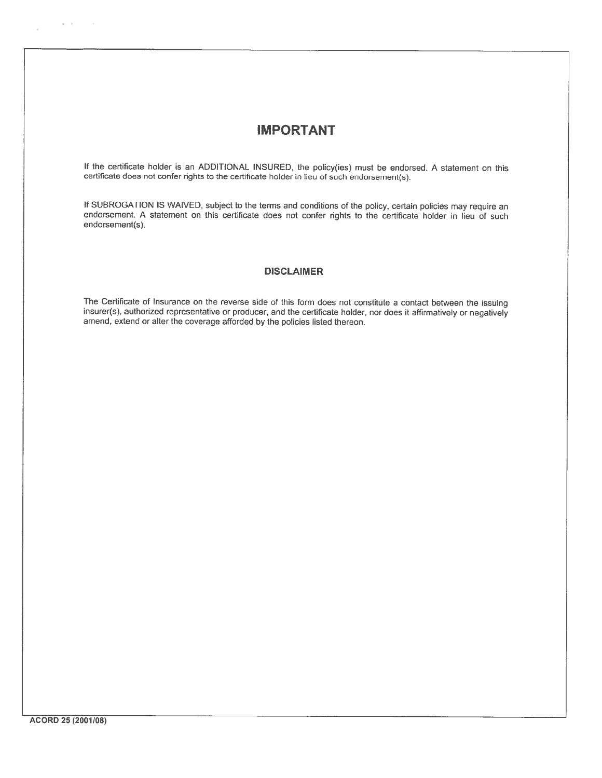# **IMPORTANT**

If the certificate holder is an ADDITIONAL INSURED, the policy(ies) must be endorsed. A statement on this certificate does not confer rights to the certificate holder in lieu of such endorsement(s).

If SUBROGATION IS WAIVED, subject to the terms and conditions of the policy, certain policies may require an endorsement. A statement on this certificate does not confer rights to the certificate holder in lieu of such endorsement(s).

#### **DISCLAIMER**

The Certificate of Insurance on the reverse side of this form does not constitute a contact between the issuing insurer(s), authorized representative or producer, and the certificate holder, nor does it affirmatively or negatively amend, extend or alter the coverage afforded by the policies listed thereon.

 $\alpha\in\mathcal{X}$  . In the  $\alpha$ 

 $\sim$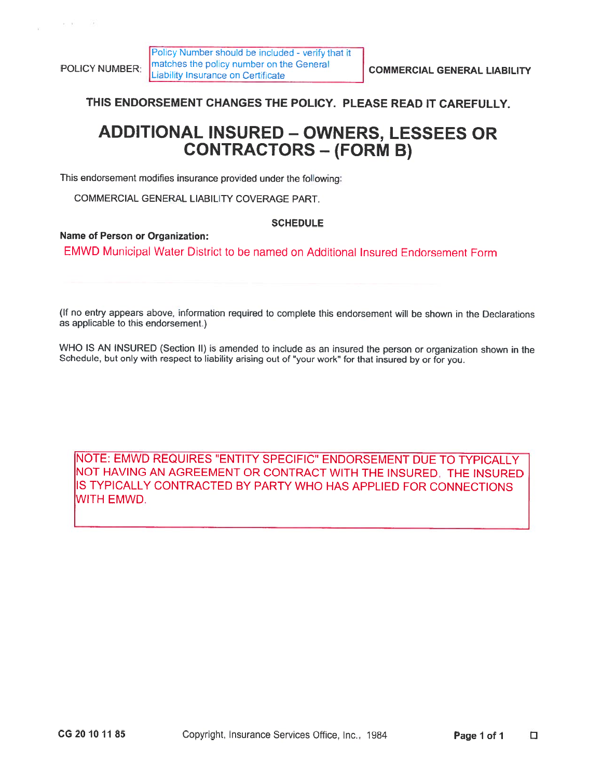$\kappa_{\rm B} = 30$ 

THIS ENDORSEMENT CHANGES THE POLICY. PLEASE READ IT CAREFULLY.

# **ADDITIONAL INSURED - OWNERS, LESSEES OR CONTRACTORS - (FORM B)**

This endorsement modifies insurance provided under the following:

COMMERCIAL GENERAL LIABILITY COVERAGE PART.

### **SCHEDULE**

### **Name of Person or Organization:**

EMWD Municipal Water District to be named on Additional Insured Endorsement Form

(If no entry appears above, information required to complete this endorsement will be shown in the Declarations as applicable to this endorsement.)

WHO IS AN INSURED (Section II) is amended to include as an insured the person or organization shown in the Schedule, but only with respect to liability arising out of "your work" for that insured by or for you.

NOTE: EMWD REQUIRES "ENTITY SPECIFIC" ENDORSEMENT DUE TO TYPICALLY NOT HAVING AN AGREEMENT OR CONTRACT WITH THE INSURED. THE INSURED IS TYPICALLY CONTRACTED BY PARTY WHO HAS APPLIED FOR CONNECTIONS WITH EMWD.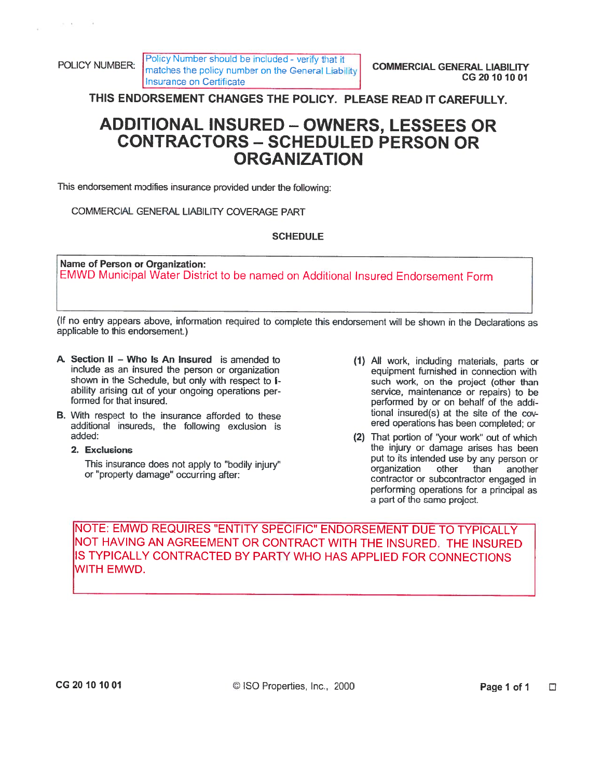POLICY NUMBER:

mi en

Policy Number should be included - verify that it matches the policy number on the General Liability Insurance on Certificate

THIS ENDORSEMENT CHANGES THE POLICY. PLEASE READ IT CAREFULLY.

# **ADDITIONAL INSURED - OWNERS, LESSEES OR CONTRACTORS - SCHEDULED PERSON OR ORGANIZATION**

This endorsement modifies insurance provided under the following:

COMMERCIAL GENERAL LIABILITY COVERAGE PART

## **SCHEDULE**

Name of Person or Organization: EMWD Municipal Water District to be named on Additional Insured Endorsement Form

(If no entry appears above, information required to complete this endorsement will be shown in the Declarations as applicable to this endorsement.)

- A. Section II Who Is An Insured is amended to include as an insured the person or organization shown in the Schedule, but only with respect to Iability arising out of your ongoing operations performed for that insured.
- B. With respect to the insurance afforded to these additional insureds, the following exclusion is added:
	- 2. Exclusions

This insurance does not apply to "bodily injury" or "property damage" occurring after:

- (1) All work, including materials, parts or equipment furnished in connection with such work, on the project (other than service, maintenance or repairs) to be performed by or on behalf of the additional insured(s) at the site of the covered operations has been completed; or
- (2) That portion of "your work" out of which the injury or damage arises has been put to its intended use by any person or organization other than another contractor or subcontractor engaged in performing operations for a principal as a part of the same project.

INOTE: EMWD REQUIRES "ENTITY SPECIFIC" ENDORSEMENT DUE TO TYPICALLY NOT HAVING AN AGREEMENT OR CONTRACT WITH THE INSURED. THE INSURED IS TYPICALLY CONTRACTED BY PARTY WHO HAS APPLIED FOR CONNECTIONS WITH EMWD.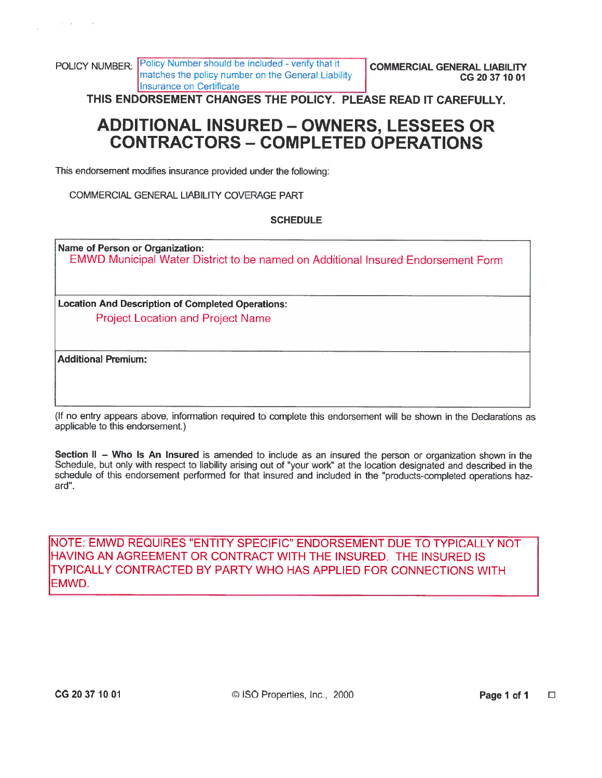THIS ENDORSEMENT CHANGES THE POLICY. PLEASE READ IT CAREFULLY.

# **ADDITIONAL INSURED - OWNERS, LESSEES OR CONTRACTORS - COMPLETED OPERATIONS**

This endorsement modifies insurance provided under the following:

COMMERCIAL GENERAL LIABILITY COVERAGE PART

### **SCHEDULE**

**Name of Person or Organization:** EMWD Municipal Water District to be named on Additional Insured Endorsement Form

**Location And Description of Completed Operations: Project Location and Project Name** 

**Additional Premium:** 

(If no entry appears above, information required to complete this endorsement will be shown in the Declarations as applicable to this endorsement.)

Section II – Who Is An Insured is amended to include as an insured the person or organization shown in the Schedule, but only with respect to liability arising out of "your work" at the location designated and described in the schedule of this endorsement performed for that insured and included in the "products-completed operations hazard".

NOTE: EMWD REQUIRES "ENTITY SPECIFIC" ENDORSEMENT DUE TO TYPICALLY NOT HAVING AN AGREEMENT OR CONTRACT WITH THE INSURED. THE INSURED IS TYPICALLY CONTRACTED BY PARTY WHO HAS APPLIED FOR CONNECTIONS WITH EMWD.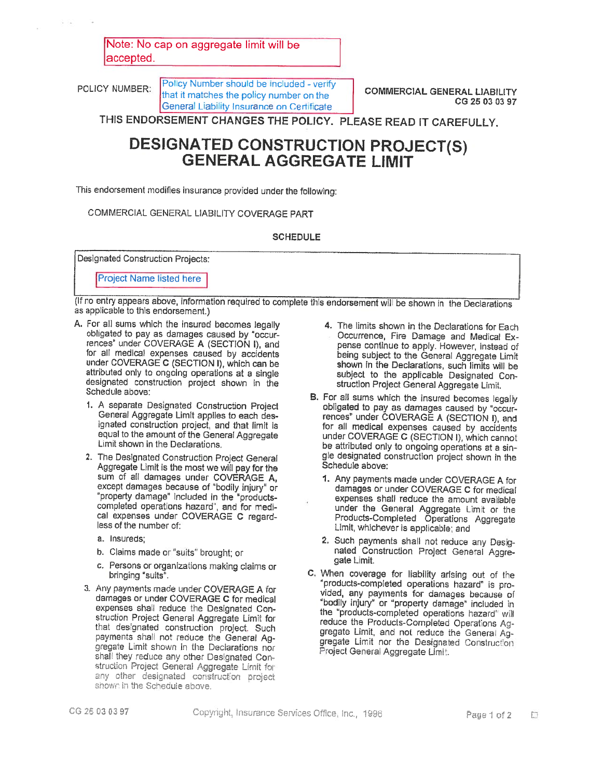Note: No cap on aggregate limit will be accepted.

POLICY NUMBER:

Policy Number should be included - verify that it matches the policy number on the General Liability Insurance on Certificate

**COMMERCIAL GENERAL LIABILITY** CG 25 03 03 97

THIS ENDORSEMENT CHANGES THE POLICY. PLEASE READ IT CAREFULLY.

# **DESIGNATED CONSTRUCTION PROJECT(S) GENERAL AGGREGATE LIMIT**

This endorsement modifies insurance provided under the following:

COMMERCIAL GENERAL LIABILITY COVERAGE PART

#### **SCHEDULE**

**Designated Construction Projects:** 

**Project Name listed here** 

(If no entry appears above, information required to complete this endorsement will be shown in the Declarations as applicable to this endorsement.)

- A. For all sums which the insured becomes legally obligated to pay as damages caused by "occurrences" under COVERAGE A (SECTION I), and for all medical expenses caused by accidents under COVERAGE C (SECTION I), which can be attributed only to ongoing operations at a single designated construction project shown in the Schedule above:
	- 1. A separate Designated Construction Project General Aggregate Limit applies to each designated construction project, and that limit is equal to the amount of the General Aggregate Limit shown in the Declarations.
	- 2. The Designated Construction Project General Aggregate Limit is the most we will pay for the sum of all damages under COVERAGE A, except damages because of "bodily injury" or "property damage" included in the "products-<br>completed operations hazard", and for medical expenses under COVERAGE C regardless of the number of:
		- a. Insureds:
		- b. Claims made or "suits" brought: or
		- c. Persons or organizations making claims or bringing "suits".
	- 3. Any payments made under COVERAGE A for damages or under COVERAGE C for medical expenses shall reduce the Designated Construction Project General Aggregate Limit for that designated construction project. Such payments shall not reduce the General Aggregate Limit shown in the Declarations nor shall they reduce any other Designated Construction Project General Aggregate Limit for any other designated construction project shown in the Schedule above.
- 4. The limits shown in the Declarations for Each Occurrence, Fire Damage and Medical Expense continue to apply. However, instead of being subject to the General Aggregate Limit shown in the Declarations, such limits will be subject to the applicable Designated Construction Project General Aggregate Limit.
- B. For all sums which the insured becomes legally obligated to pay as damages caused by "occurrences" under COVERAGE A (SECTION I), and for all medical expenses caused by accidents under COVERAGE C (SECTION I), which cannot be attributed only to ongoing operations at a single designated construction project shown in the Schedule above:
	- 1. Any payments made under COVERAGE A for damages or under COVERAGE C for medical expenses shall reduce the amount available under the General Aggregate Limit or the<br>Products-Completed Operations Aggregate Limit, whichever is applicable; and
	- 2. Such payments shall not reduce any Designated Construction Project General Aggregate Limit.
- C. When coverage for liability arising out of the "products-completed operations hazard" is provided, any payments for damages because of "bodily injury" or "property damage" included in the "products-completed operations hazard" will reduce the Products-Completed Operations Aggregate Limit, and not reduce the General Aggregate Limit nor the Designated Construction Project General Aggregate Limit.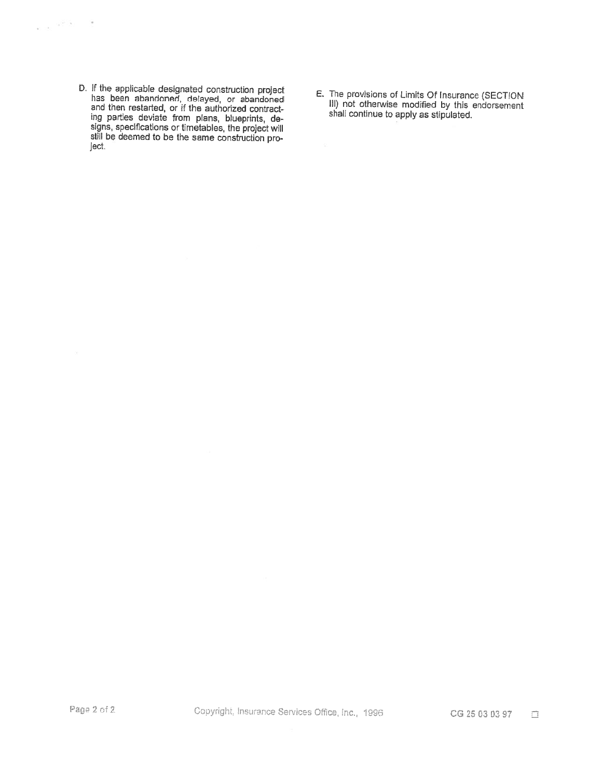D. If the applicable designated construction project<br>has been abandoned, delayed, or abandoned<br>and then restarted, or if the authorized contract-<br>ing parties deviate from plans, blueprints, de-<br>signs, specifications or tim ject.

 $\label{eq:2.1} \frac{1}{\sqrt{2\pi}}\left(\frac{1}{2}\sqrt{2\pi}\right)^{1/2} \frac{1}{\sqrt{2\pi}}\frac{1}{\sqrt{2\pi}}\frac{1}{\sqrt{2\pi}}\frac{1}{\sqrt{2\pi}}\frac{1}{\sqrt{2\pi}}\frac{1}{\sqrt{2\pi}}\frac{1}{\sqrt{2\pi}}\frac{1}{\sqrt{2\pi}}\frac{1}{\sqrt{2\pi}}\frac{1}{\sqrt{2\pi}}\frac{1}{\sqrt{2\pi}}\frac{1}{\sqrt{2\pi}}\frac{1}{\sqrt{2\pi}}\frac{1}{\sqrt{2\pi}}\frac{1}{\sqrt{2$ 

E. The provisions of Limits Of Insurance (SECTION<br>III) not otherwise modified by this endorsement<br>shall continue to apply as stipulated.